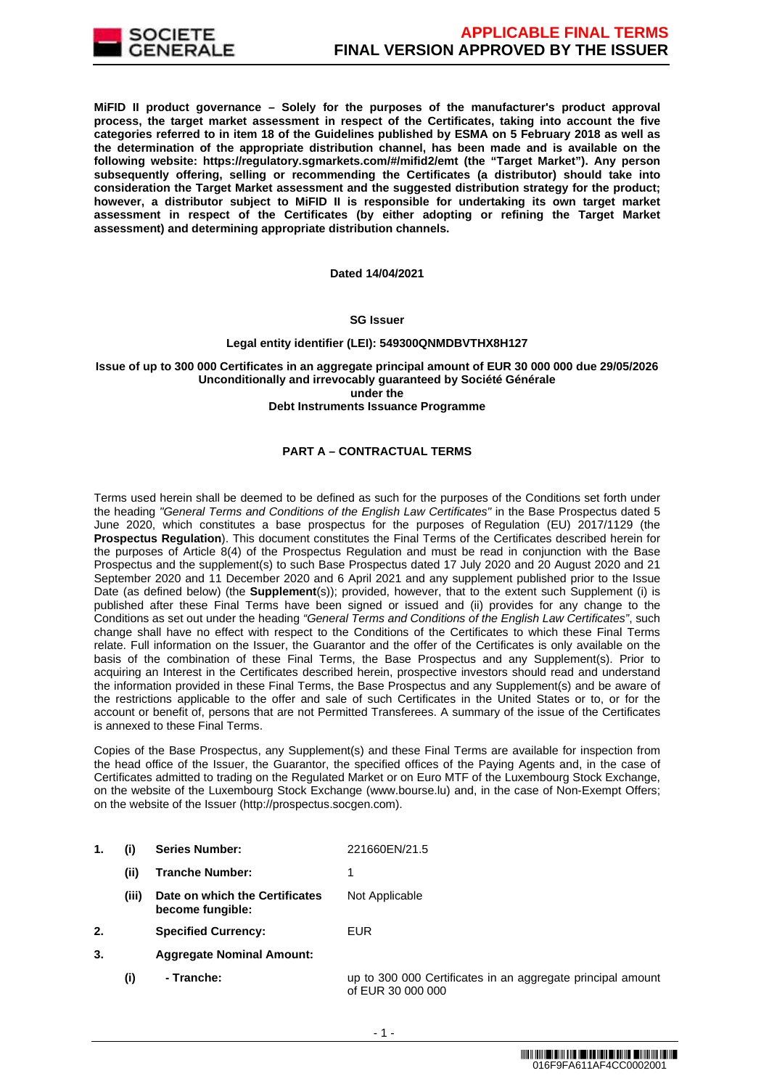

**MiFID II product governance – Solely for the purposes of the manufacturer's product approval process, the target market assessment in respect of the Certificates, taking into account the five categories referred to in item 18 of the Guidelines published by ESMA on 5 February 2018 as well as the determination of the appropriate distribution channel, has been made and is available on the following website: https://regulatory.sgmarkets.com/#/mifid2/emt (the "Target Market"). Any person subsequently offering, selling or recommending the Certificates (a distributor) should take into consideration the Target Market assessment and the suggested distribution strategy for the product; however, a distributor subject to MiFID II is responsible for undertaking its own target market assessment in respect of the Certificates (by either adopting or refining the Target Market assessment) and determining appropriate distribution channels.**

**Dated 14/04/2021**

## **SG Issuer**

## **Legal entity identifier (LEI): 549300QNMDBVTHX8H127**

# **Issue of up to 300 000 Certificates in an aggregate principal amount of EUR 30 000 000 due 29/05/2026 Unconditionally and irrevocably guaranteed by Société Générale under the**

## **Debt Instruments Issuance Programme**

# **PART A – CONTRACTUAL TERMS**

Terms used herein shall be deemed to be defined as such for the purposes of the Conditions set forth under the heading "General Terms and Conditions of the English Law Certificates" in the Base Prospectus dated 5 June 2020, which constitutes a base prospectus for the purposes of Regulation (EU) 2017/1129 (the **Prospectus Regulation**). This document constitutes the Final Terms of the Certificates described herein for the purposes of Article 8(4) of the Prospectus Regulation and must be read in conjunction with the Base Prospectus and the supplement(s) to such Base Prospectus dated 17 July 2020 and 20 August 2020 and 21 September 2020 and 11 December 2020 and 6 April 2021 and any supplement published prior to the Issue Date (as defined below) (the **Supplement**(s)); provided, however, that to the extent such Supplement (i) is published after these Final Terms have been signed or issued and (ii) provides for any change to the Conditions as set out under the heading "General Terms and Conditions of the English Law Certificates", such change shall have no effect with respect to the Conditions of the Certificates to which these Final Terms relate. Full information on the Issuer, the Guarantor and the offer of the Certificates is only available on the basis of the combination of these Final Terms, the Base Prospectus and any Supplement(s). Prior to acquiring an Interest in the Certificates described herein, prospective investors should read and understand the information provided in these Final Terms, the Base Prospectus and any Supplement(s) and be aware of the restrictions applicable to the offer and sale of such Certificates in the United States or to, or for the account or benefit of, persons that are not Permitted Transferees. A summary of the issue of the Certificates is annexed to these Final Terms.

Copies of the Base Prospectus, any Supplement(s) and these Final Terms are available for inspection from the head office of the Issuer, the Guarantor, the specified offices of the Paying Agents and, in the case of Certificates admitted to trading on the Regulated Market or on Euro MTF of the Luxembourg Stock Exchange, on the website of the Luxembourg Stock Exchange (www.bourse.lu) and, in the case of Non-Exempt Offers; on the website of the Issuer (http://prospectus.socgen.com).

- **1. (i) Series Number:** 221660EN/21.5
	- **(ii) Tranche Number:** 1
	- **(iii) Date on which the Certificates become fungible:** Not Applicable
- **2. Specified Currency:** EUR
- **3. Aggregate Nominal Amount:**
	- **(i) Tranche:** up to 300 000 Certificates in an aggregate principal amount of EUR 30 000 000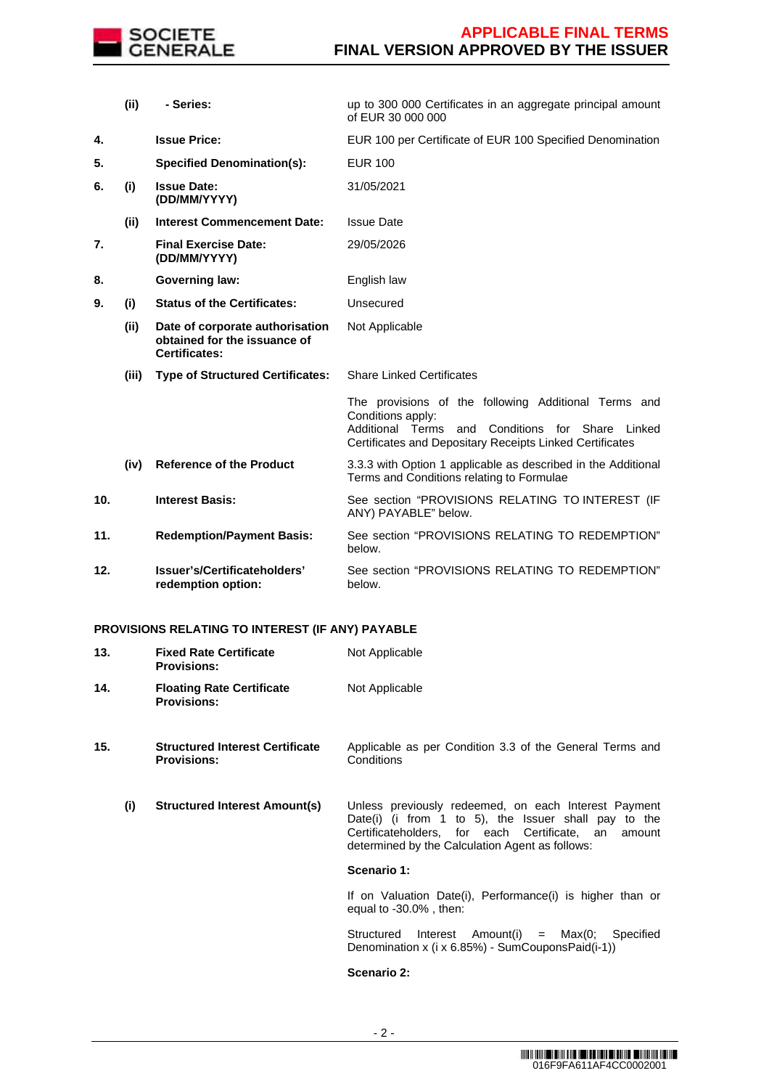

|     | (ii)  | - Series:                                                                               | up to 300 000 Certificates in an aggregate principal amount<br>of EUR 30 000 000                                                                                                                |
|-----|-------|-----------------------------------------------------------------------------------------|-------------------------------------------------------------------------------------------------------------------------------------------------------------------------------------------------|
| 4.  |       | <b>Issue Price:</b>                                                                     | EUR 100 per Certificate of EUR 100 Specified Denomination                                                                                                                                       |
| 5.  |       | <b>Specified Denomination(s):</b>                                                       | <b>EUR 100</b>                                                                                                                                                                                  |
| 6.  | (i)   | <b>Issue Date:</b><br>(DD/MM/YYYY)                                                      | 31/05/2021                                                                                                                                                                                      |
|     | (ii)  | <b>Interest Commencement Date:</b>                                                      | <b>Issue Date</b>                                                                                                                                                                               |
| 7.  |       | <b>Final Exercise Date:</b><br>(DD/MM/YYYY)                                             | 29/05/2026                                                                                                                                                                                      |
| 8.  |       | <b>Governing law:</b>                                                                   | English law                                                                                                                                                                                     |
| 9.  | (i)   | <b>Status of the Certificates:</b>                                                      | Unsecured                                                                                                                                                                                       |
|     | (ii)  | Date of corporate authorisation<br>obtained for the issuance of<br><b>Certificates:</b> | Not Applicable                                                                                                                                                                                  |
|     | (iii) | <b>Type of Structured Certificates:</b>                                                 | <b>Share Linked Certificates</b>                                                                                                                                                                |
|     |       |                                                                                         | The provisions of the following Additional Terms and<br>Conditions apply:<br>and Conditions for Share<br>Additional Terms<br>Linked<br>Certificates and Depositary Receipts Linked Certificates |
|     | (iv)  | <b>Reference of the Product</b>                                                         | 3.3.3 with Option 1 applicable as described in the Additional<br>Terms and Conditions relating to Formulae                                                                                      |
| 10. |       | <b>Interest Basis:</b>                                                                  | See section "PROVISIONS RELATING TO INTEREST (IF<br>ANY) PAYABLE" below.                                                                                                                        |
| 11. |       | <b>Redemption/Payment Basis:</b>                                                        | See section "PROVISIONS RELATING TO REDEMPTION"<br>below.                                                                                                                                       |
| 12. |       | Issuer's/Certificateholders'<br>redemption option:                                      | See section "PROVISIONS RELATING TO REDEMPTION"<br>below.                                                                                                                                       |

# **PROVISIONS RELATING TO INTEREST (IF ANY) PAYABLE**

| 13. |     | <b>Fixed Rate Certificate</b><br><b>Provisions:</b>          | Not Applicable                                                                                                                                                                                                            |
|-----|-----|--------------------------------------------------------------|---------------------------------------------------------------------------------------------------------------------------------------------------------------------------------------------------------------------------|
| 14. |     | <b>Floating Rate Certificate</b><br><b>Provisions:</b>       | Not Applicable                                                                                                                                                                                                            |
| 15. |     | <b>Structured Interest Certificate</b><br><b>Provisions:</b> | Applicable as per Condition 3.3 of the General Terms and<br>Conditions                                                                                                                                                    |
|     | (i) | <b>Structured Interest Amount(s)</b>                         | Unless previously redeemed, on each Interest Payment<br>Date(i) (i from 1 to 5), the Issuer shall pay to the<br>Certificateholders, for each Certificate, an<br>amount<br>determined by the Calculation Agent as follows: |
|     |     |                                                              | Scenario 1:                                                                                                                                                                                                               |
|     |     |                                                              | If on Valuation Date(i), Performance(i) is higher than or<br>equal to $-30.0\%$ , then:                                                                                                                                   |
|     |     |                                                              | Structured<br>Interest Amount(i)<br>$=$ Max(0;<br>Specified<br>Denomination x (i x 6.85%) - SumCouponsPaid(i-1))                                                                                                          |
|     |     |                                                              | Scenario 2:                                                                                                                                                                                                               |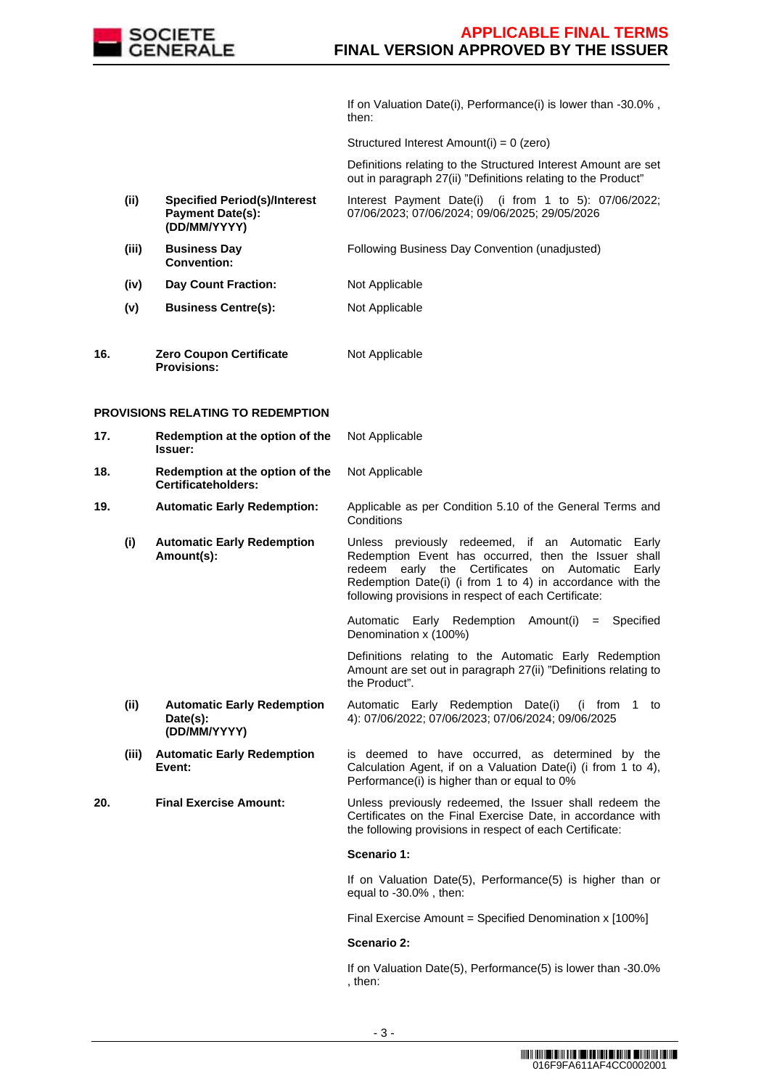

If on Valuation Date(i), Performance(i) is lower than -30.0% , then:

Structured Interest Amount(i) = 0 (zero)

 Definitions relating to the Structured Interest Amount are set out in paragraph 27(ii) "Definitions relating to the Product"

- **(ii) Specified Period(s)/Interest Payment Date(s): (DD/MM/YYYY)** Interest Payment Date(i) (i from 1 to 5): 07/06/2022; 07/06/2023; 07/06/2024; 09/06/2025; 29/05/2026
- **(iii) Business Day Convention:** Following Business Day Convention (unadjusted)
- **(iv) Day Count Fraction:** Not Applicable
- **(v) Business Centre(s):** Not Applicable
- **16. Zero Coupon Certificate Provisions:** Not Applicable

# **PROVISIONS RELATING TO REDEMPTION**

| 17. |       | Redemption at the option of the<br>Issuer:                    | Not Applicable                                                                                                                                                                                                                                                                                 |
|-----|-------|---------------------------------------------------------------|------------------------------------------------------------------------------------------------------------------------------------------------------------------------------------------------------------------------------------------------------------------------------------------------|
| 18. |       | Redemption at the option of the<br>Certificateholders:        | Not Applicable                                                                                                                                                                                                                                                                                 |
| 19. |       | <b>Automatic Early Redemption:</b>                            | Applicable as per Condition 5.10 of the General Terms and<br>Conditions                                                                                                                                                                                                                        |
|     | (i)   | <b>Automatic Early Redemption</b><br>Amount(s):               | Unless previously redeemed, if an Automatic<br>Early<br>Redemption Event has occurred, then the Issuer shall<br>early the Certificates<br>on Automatic<br>redeem<br>Early<br>Redemption Date(i) (i from 1 to 4) in accordance with the<br>following provisions in respect of each Certificate: |
|     |       |                                                               | Automatic Early Redemption Amount(i)<br>= Specified<br>Denomination x (100%)                                                                                                                                                                                                                   |
|     |       |                                                               | Definitions relating to the Automatic Early Redemption<br>Amount are set out in paragraph 27(ii) "Definitions relating to<br>the Product".                                                                                                                                                     |
|     |       |                                                               |                                                                                                                                                                                                                                                                                                |
|     | (ii)  | <b>Automatic Early Redemption</b><br>Date(s):<br>(DD/MM/YYYY) | Automatic Early Redemption Date(i)<br>(i from<br>$\overline{1}$<br>to<br>4): 07/06/2022; 07/06/2023; 07/06/2024; 09/06/2025                                                                                                                                                                    |
|     | (iii) | <b>Automatic Early Redemption</b><br>Event:                   | is deemed to have occurred, as determined by the<br>Calculation Agent, if on a Valuation Date(i) (i from 1 to 4),<br>Performance(i) is higher than or equal to 0%                                                                                                                              |
|     |       | <b>Final Exercise Amount:</b>                                 | Unless previously redeemed, the Issuer shall redeem the<br>Certificates on the Final Exercise Date, in accordance with<br>the following provisions in respect of each Certificate:                                                                                                             |
|     |       |                                                               | Scenario 1:                                                                                                                                                                                                                                                                                    |
| 20. |       |                                                               | If on Valuation Date(5), Performance(5) is higher than or<br>equal to -30.0%, then:                                                                                                                                                                                                            |
|     |       |                                                               | Final Exercise Amount = Specified Denomination x [100%]                                                                                                                                                                                                                                        |

If on Valuation Date(5), Performance(5) is lower than -30.0% , then: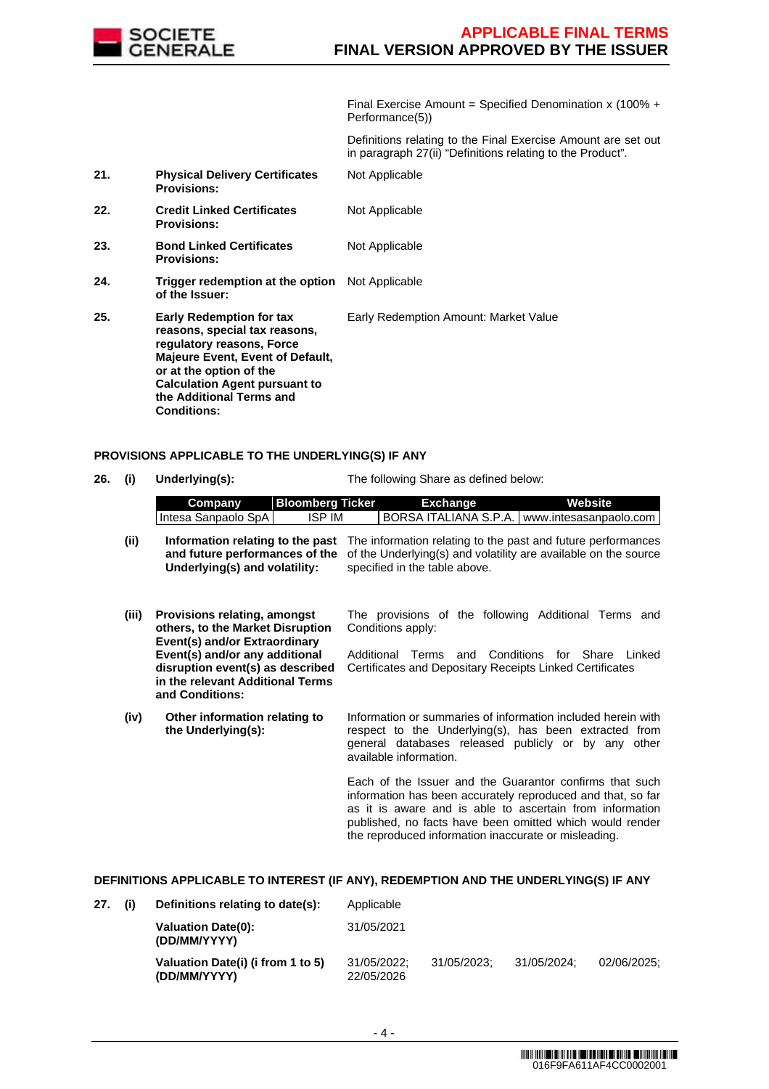

Final Exercise Amount = Specified Denomination x (100% + Performance(5))

 Definitions relating to the Final Exercise Amount are set out in paragraph 27(ii) "Definitions relating to the Product".

- **21. Physical Delivery Certificates Provisions:** Not Applicable **22. Credit Linked Certificates Provisions:** Not Applicable **23. Bond Linked Certificates Provisions:** Not Applicable **24. Trigger redemption at the option of the Issuer:** Not Applicable
	- **25. Early Redemption for tax reasons, special tax reasons, regulatory reasons, Force Majeure Event, Event of Default, or at the option of the Calculation Agent pursuant to the Additional Terms and Conditions:** Early Redemption Amount: Market Value

# **PROVISIONS APPLICABLE TO THE UNDERLYING(S) IF ANY**

| 26. | (i)   | Underlying(s):                                                                                                                                                                                                                        | The following Share as defined below:                                                                                                                                                                                                                                                                  |
|-----|-------|---------------------------------------------------------------------------------------------------------------------------------------------------------------------------------------------------------------------------------------|--------------------------------------------------------------------------------------------------------------------------------------------------------------------------------------------------------------------------------------------------------------------------------------------------------|
|     |       | <b>Bloomberg Ticker</b><br>Company<br><b>ISP IM</b><br>Intesa Sanpaolo SpA                                                                                                                                                            | <b>Exchange</b><br>Website<br>BORSA ITALIANA S.P.A.   www.intesasanpaolo.com                                                                                                                                                                                                                           |
|     | (ii)  | Information relating to the past<br>and future performances of the<br>Underlying(s) and volatility:                                                                                                                                   | The information relating to the past and future performances<br>of the Underlying(s) and volatility are available on the source<br>specified in the table above.                                                                                                                                       |
|     | (iii) | <b>Provisions relating, amongst</b><br>others, to the Market Disruption<br>Event(s) and/or Extraordinary<br>Event(s) and/or any additional<br>disruption event(s) as described<br>in the relevant Additional Terms<br>and Conditions: | The provisions of the following Additional Terms and<br>Conditions apply:<br>Additional Terms and Conditions<br>for Share<br>Linked<br>Certificates and Depositary Receipts Linked Certificates                                                                                                        |
|     | (iv)  | Other information relating to<br>the Underlying(s):                                                                                                                                                                                   | Information or summaries of information included herein with<br>respect to the Underlying(s), has been extracted from<br>general databases released publicly or by any other<br>available information.                                                                                                 |
|     |       |                                                                                                                                                                                                                                       | Each of the Issuer and the Guarantor confirms that such<br>information has been accurately reproduced and that, so far<br>as it is aware and is able to ascertain from information<br>published, no facts have been omitted which would render<br>the reproduced information inaccurate or misleading. |
|     |       |                                                                                                                                                                                                                                       |                                                                                                                                                                                                                                                                                                        |

# **DEFINITIONS APPLICABLE TO INTEREST (IF ANY), REDEMPTION AND THE UNDERLYING(S) IF ANY**

| 27.<br>(i) | Definitions relating to date(s):                  | Applicable                |             |             |             |
|------------|---------------------------------------------------|---------------------------|-------------|-------------|-------------|
|            | <b>Valuation Date(0):</b><br>(DD/MM/YYYY)         | 31/05/2021                |             |             |             |
|            | Valuation Date(i) (i from 1 to 5)<br>(DD/MM/YYYY) | 31/05/2022:<br>22/05/2026 | 31/05/2023: | 31/05/2024: | 02/06/2025: |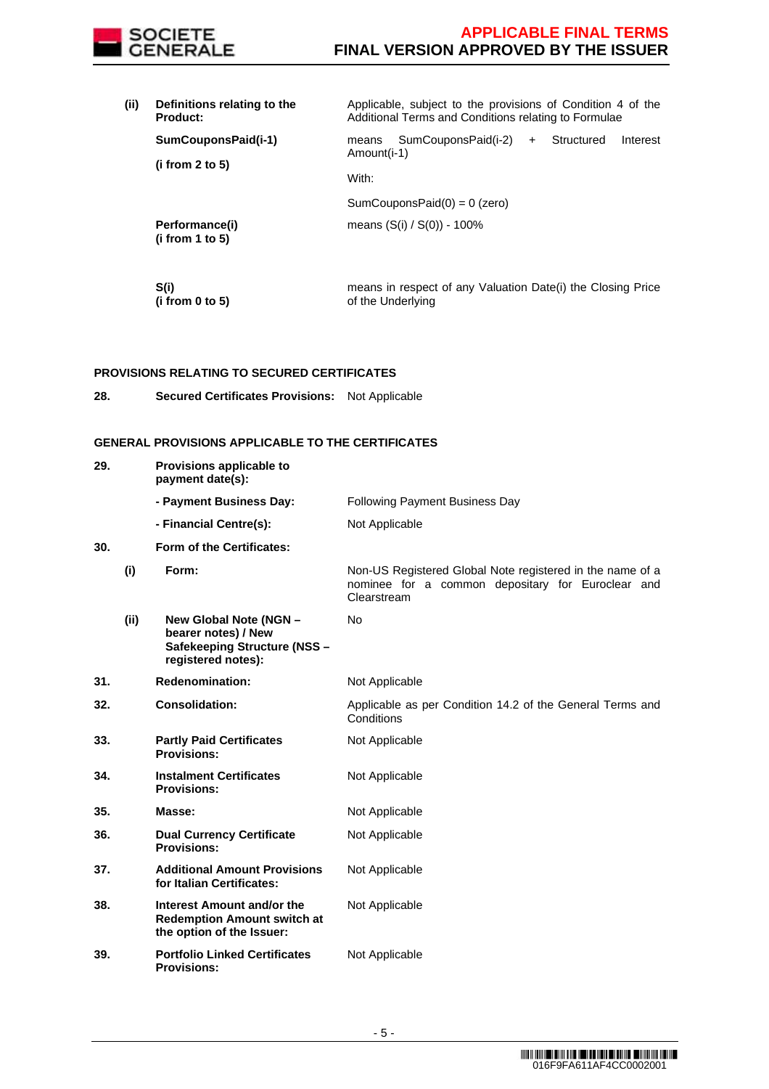

| (ii) | Definitions relating to the<br><b>Product:</b> | Applicable, subject to the provisions of Condition 4 of the<br>Additional Terms and Conditions relating to Formulae |
|------|------------------------------------------------|---------------------------------------------------------------------------------------------------------------------|
|      | SumCouponsPaid(i-1)<br>(i from 2 to 5)         | SumCouponsPaid(i-2)<br>Structured<br>Interest<br>$\ddot{}$<br>means<br>Amount(i-1)                                  |
|      |                                                | With:                                                                                                               |
|      |                                                | $SumCouponsPaid(0) = 0$ (zero)                                                                                      |
|      | Performance(i)<br>(i from 1 to 5)              | means $(S(i) / S(0)) - 100\%$                                                                                       |
|      | S(i)                                           | means in respect of any Valuation Date(i) the Closing Price                                                         |

of the Underlying

# **PROVISIONS RELATING TO SECURED CERTIFICATES**

**(i from 0 to 5)** 

| Secured Certificates Provisions: Not Applicable<br>28. |  |
|--------------------------------------------------------|--|
|--------------------------------------------------------|--|

# **GENERAL PROVISIONS APPLICABLE TO THE CERTIFICATES**

| 29. |      | Provisions applicable to<br>payment date(s):                                                        |                                                                                                                               |
|-----|------|-----------------------------------------------------------------------------------------------------|-------------------------------------------------------------------------------------------------------------------------------|
|     |      | - Payment Business Day:                                                                             | <b>Following Payment Business Day</b>                                                                                         |
|     |      | - Financial Centre(s):                                                                              | Not Applicable                                                                                                                |
| 30. |      | <b>Form of the Certificates:</b>                                                                    |                                                                                                                               |
|     | (i)  | Form:                                                                                               | Non-US Registered Global Note registered in the name of a<br>nominee for a common depositary for Euroclear and<br>Clearstream |
|     | (ii) | New Global Note (NGN -<br>bearer notes) / New<br>Safekeeping Structure (NSS -<br>registered notes): | No                                                                                                                            |
| 31. |      | <b>Redenomination:</b>                                                                              | Not Applicable                                                                                                                |
| 32. |      | <b>Consolidation:</b>                                                                               | Applicable as per Condition 14.2 of the General Terms and<br>Conditions                                                       |
| 33. |      | <b>Partly Paid Certificates</b><br><b>Provisions:</b>                                               | Not Applicable                                                                                                                |
| 34. |      | <b>Instalment Certificates</b><br><b>Provisions:</b>                                                | Not Applicable                                                                                                                |
| 35. |      | Masse:                                                                                              | Not Applicable                                                                                                                |
| 36. |      | <b>Dual Currency Certificate</b><br><b>Provisions:</b>                                              | Not Applicable                                                                                                                |
| 37. |      | <b>Additional Amount Provisions</b><br>for Italian Certificates:                                    | Not Applicable                                                                                                                |
| 38. |      | Interest Amount and/or the<br><b>Redemption Amount switch at</b><br>the option of the Issuer:       | Not Applicable                                                                                                                |
| 39. |      | <b>Portfolio Linked Certificates</b><br><b>Provisions:</b>                                          | Not Applicable                                                                                                                |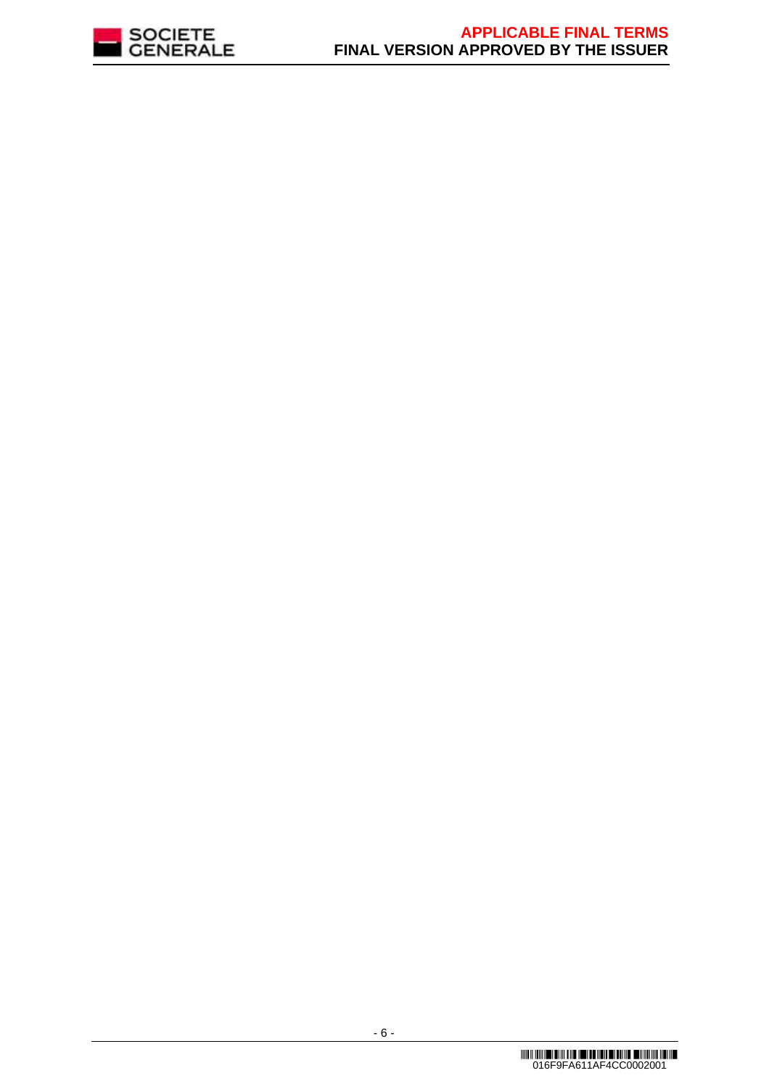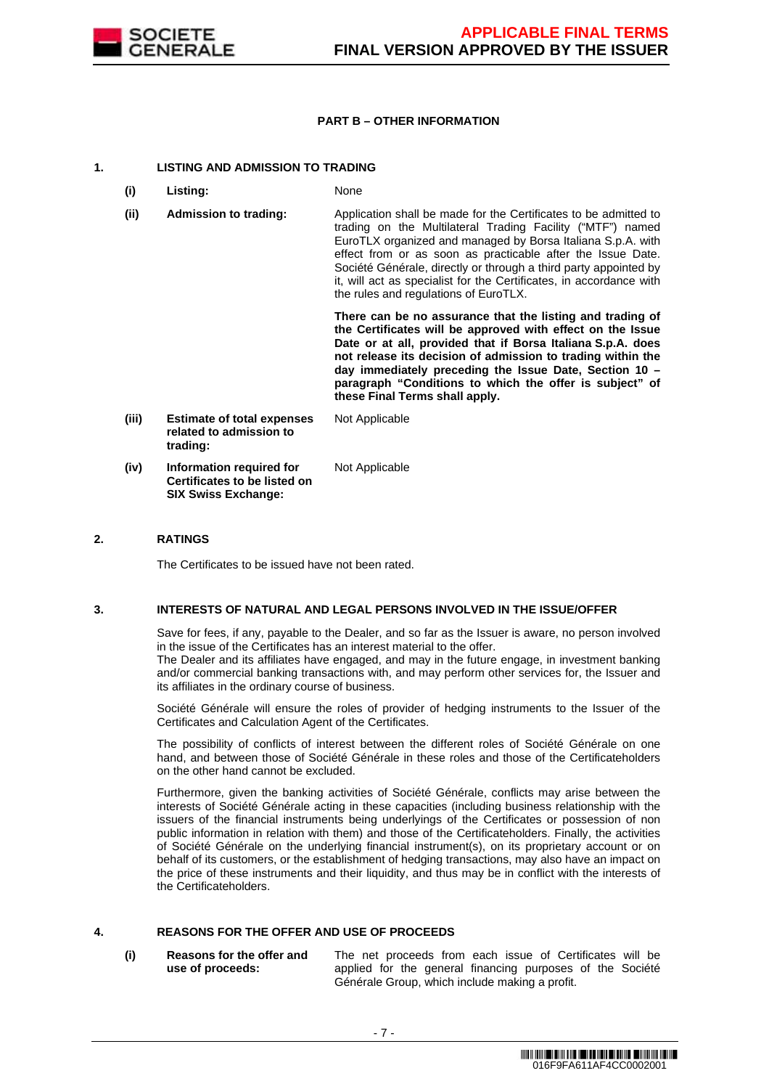

# **PART B – OTHER INFORMATION**

## **1. LISTING AND ADMISSION TO TRADING**

- **(i) Listing:** None
- **(ii) Admission to trading:** Application shall be made for the Certificates to be admitted to trading on the Multilateral Trading Facility ("MTF") named EuroTLX organized and managed by Borsa Italiana S.p.A. with effect from or as soon as practicable after the Issue Date. Société Générale, directly or through a third party appointed by it, will act as specialist for the Certificates, in accordance with the rules and regulations of EuroTLX.

 **There can be no assurance that the listing and trading of the Certificates will be approved with effect on the Issue Date or at all, provided that if Borsa Italiana S.p.A. does not release its decision of admission to trading within the day immediately preceding the Issue Date, Section 10 – paragraph "Conditions to which the offer is subject" of these Final Terms shall apply.**

**(iii) Estimate of total expenses related to admission to trading:** Not Applicable **(iv) Information required for Certificates to be listed on SIX Swiss Exchange:** Not Applicable

# **2. RATINGS**

The Certificates to be issued have not been rated.

## **3. INTERESTS OF NATURAL AND LEGAL PERSONS INVOLVED IN THE ISSUE/OFFER**

 Save for fees, if any, payable to the Dealer, and so far as the Issuer is aware, no person involved in the issue of the Certificates has an interest material to the offer.

The Dealer and its affiliates have engaged, and may in the future engage, in investment banking and/or commercial banking transactions with, and may perform other services for, the Issuer and its affiliates in the ordinary course of business.

 Société Générale will ensure the roles of provider of hedging instruments to the Issuer of the Certificates and Calculation Agent of the Certificates.

 The possibility of conflicts of interest between the different roles of Société Générale on one hand, and between those of Société Générale in these roles and those of the Certificateholders on the other hand cannot be excluded.

 Furthermore, given the banking activities of Société Générale, conflicts may arise between the interests of Société Générale acting in these capacities (including business relationship with the issuers of the financial instruments being underlyings of the Certificates or possession of non public information in relation with them) and those of the Certificateholders. Finally, the activities of Société Générale on the underlying financial instrument(s), on its proprietary account or on behalf of its customers, or the establishment of hedging transactions, may also have an impact on the price of these instruments and their liquidity, and thus may be in conflict with the interests of the Certificateholders.

# **4. REASONS FOR THE OFFER AND USE OF PROCEEDS**

**(i) Reasons for the offer and use of proceeds:**

The net proceeds from each issue of Certificates will be applied for the general financing purposes of the Société Générale Group, which include making a profit.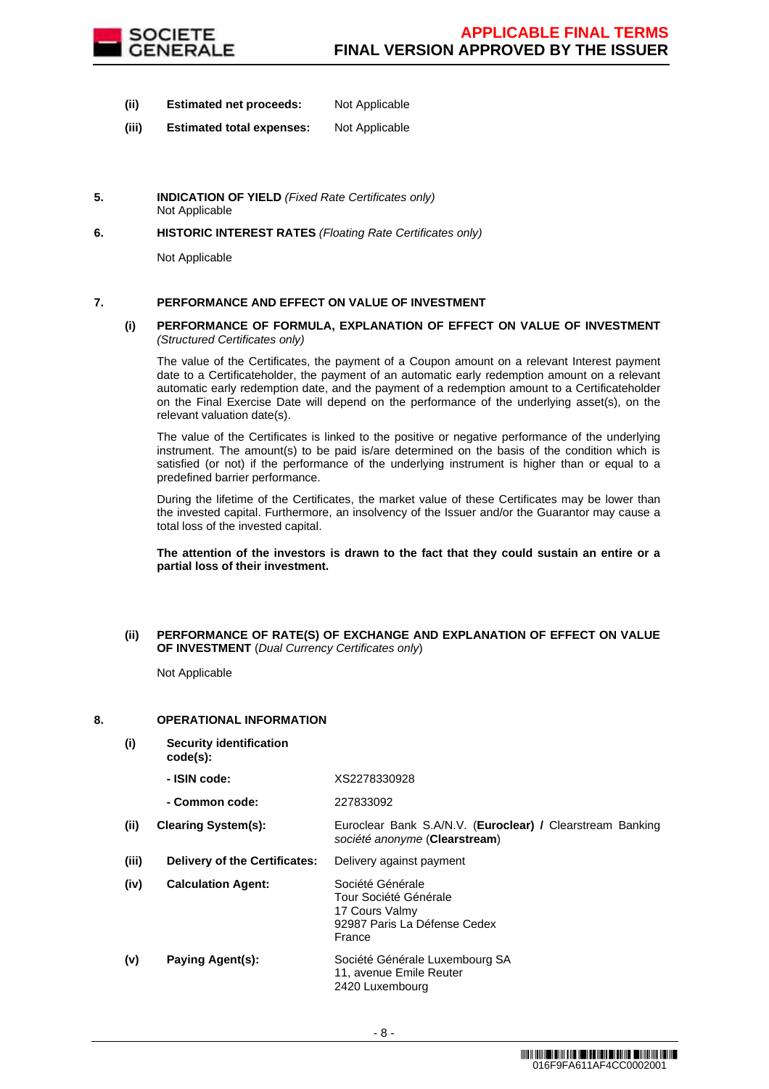

- **(ii) Estimated net proceeds:** Not Applicable
- **(iii) Estimated total expenses:** Not Applicable
- **5. INDICATION OF YIELD** (Fixed Rate Certificates only) Not Applicable
- **6. HISTORIC INTEREST RATES** (Floating Rate Certificates only)

Not Applicable

# **7. PERFORMANCE AND EFFECT ON VALUE OF INVESTMENT**

## **(i) PERFORMANCE OF FORMULA, EXPLANATION OF EFFECT ON VALUE OF INVESTMENT**  (Structured Certificates only)

 The value of the Certificates, the payment of a Coupon amount on a relevant Interest payment date to a Certificateholder, the payment of an automatic early redemption amount on a relevant automatic early redemption date, and the payment of a redemption amount to a Certificateholder on the Final Exercise Date will depend on the performance of the underlying asset(s), on the relevant valuation date(s).

 The value of the Certificates is linked to the positive or negative performance of the underlying instrument. The amount(s) to be paid is/are determined on the basis of the condition which is satisfied (or not) if the performance of the underlying instrument is higher than or equal to a predefined barrier performance.

 During the lifetime of the Certificates, the market value of these Certificates may be lower than the invested capital. Furthermore, an insolvency of the Issuer and/or the Guarantor may cause a total loss of the invested capital.

**The attention of the investors is drawn to the fact that they could sustain an entire or a partial loss of their investment.**

## **(ii) PERFORMANCE OF RATE(S) OF EXCHANGE AND EXPLANATION OF EFFECT ON VALUE OF INVESTMENT** (Dual Currency Certificates only)

Not Applicable

# **8. OPERATIONAL INFORMATION**

**(i) Security identification code(s): - ISIN code:** XS2278330928 **- Common code:** 227833092 **(ii) Clearing System(s):** Euroclear Bank S.A/N.V. (**Euroclear) /** Clearstream Banking société anonyme (**Clearstream**) **(iii) Delivery of the Certificates:** Delivery against payment **(iv) Calculation Agent:** Société Générale Tour Société Générale 17 Cours Valmy 92987 Paris La Défense Cedex France **(v) Paying Agent(s):** Société Générale Luxembourg SA 11, avenue Emile Reuter 2420 Luxembourg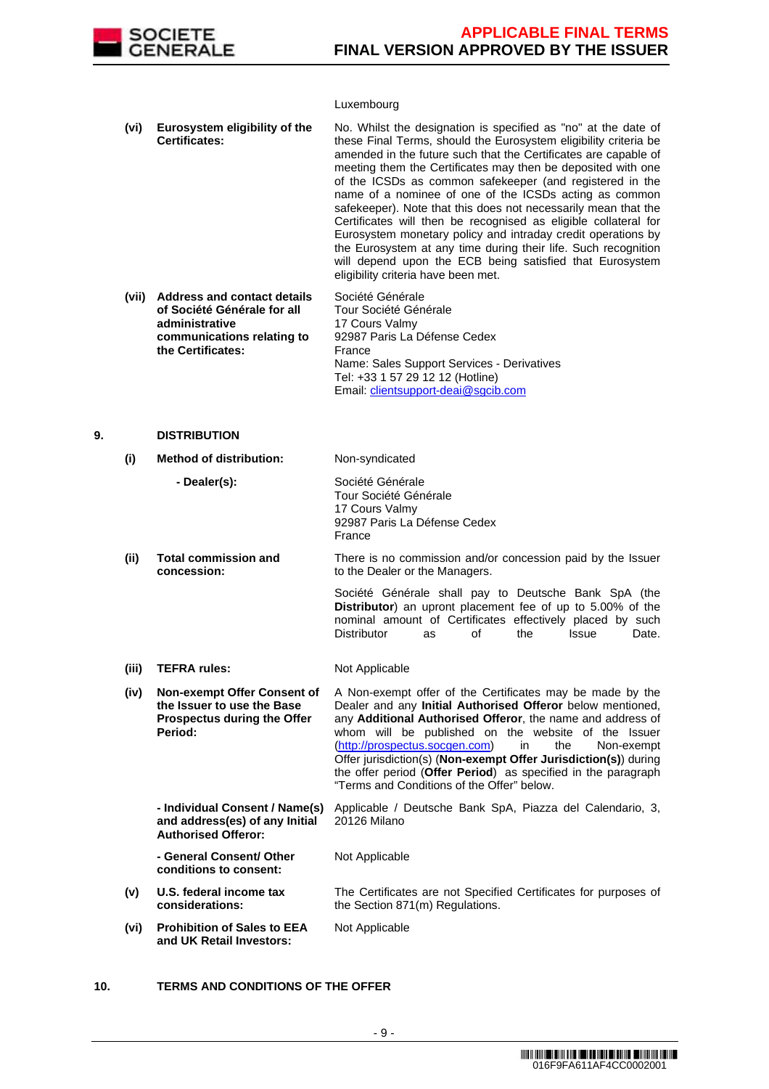

# Luxembourg

|    | (vi) | Eurosystem eligibility of the<br>Certificates:                                                                                        | No. Whilst the designation is specified as "no" at the date of<br>these Final Terms, should the Eurosystem eligibility criteria be<br>amended in the future such that the Certificates are capable of<br>meeting them the Certificates may then be deposited with one<br>of the ICSDs as common safekeeper (and registered in the<br>name of a nominee of one of the ICSDs acting as common<br>safekeeper). Note that this does not necessarily mean that the<br>Certificates will then be recognised as eligible collateral for<br>Eurosystem monetary policy and intraday credit operations by<br>the Eurosystem at any time during their life. Such recognition<br>will depend upon the ECB being satisfied that Eurosystem<br>eligibility criteria have been met. |
|----|------|---------------------------------------------------------------------------------------------------------------------------------------|-----------------------------------------------------------------------------------------------------------------------------------------------------------------------------------------------------------------------------------------------------------------------------------------------------------------------------------------------------------------------------------------------------------------------------------------------------------------------------------------------------------------------------------------------------------------------------------------------------------------------------------------------------------------------------------------------------------------------------------------------------------------------|
|    |      | (vii) Address and contact details<br>of Société Générale for all<br>administrative<br>communications relating to<br>the Certificates: | Société Générale<br>Tour Société Générale<br>17 Cours Valmy<br>92987 Paris La Défense Cedex<br>France<br>Name: Sales Support Services - Derivatives<br>Tel: +33 1 57 29 12 12 (Hotline)<br>Email: clientsupport-deai@sgcib.com                                                                                                                                                                                                                                                                                                                                                                                                                                                                                                                                        |
| 9. |      | <b>DISTRIBUTION</b>                                                                                                                   |                                                                                                                                                                                                                                                                                                                                                                                                                                                                                                                                                                                                                                                                                                                                                                       |
|    | (i)  | <b>Method of distribution:</b>                                                                                                        | Non-syndicated                                                                                                                                                                                                                                                                                                                                                                                                                                                                                                                                                                                                                                                                                                                                                        |
|    |      | - Dealer(s):                                                                                                                          | Société Générale<br>Tour Société Générale<br>17 Cours Valmy                                                                                                                                                                                                                                                                                                                                                                                                                                                                                                                                                                                                                                                                                                           |

**(ii) Total commission and concession:** There is no commission and/or concession paid by the Issuer to the Dealer or the Managers.

France

92987 Paris La Défense Cedex

 Société Générale shall pay to Deutsche Bank SpA (the **Distributor**) an upront placement fee of up to 5.00% of the nominal amount of Certificates effectively placed by such<br>Distributor as of the Issue Date Distributor as

The Certificates are not Specified Certificates for purposes of

- (iii) **TEFRA rules:** Not Applicable
- **(iv) Non-exempt Offer Consent of the Issuer to use the Base Prospectus during the Offer Period:** A Non-exempt offer of the Certificates may be made by the Dealer and any **Initial Authorised Offeror** below mentioned, any **Additional Authorised Offeror**, the name and address of whom will be published on the website of the Issuer (http://prospectus.socgen.com) in the Non-exempt Offer jurisdiction(s) (**Non-exempt Offer Jurisdiction(s)**) during the offer period (**Offer Period**) as specified in the paragraph "Terms and Conditions of the Offer" below.

 **- Individual Consent / Name(s) and address(es) of any Initial Authorised Offeror:** Applicable / Deutsche Bank SpA, Piazza del Calendario, 3, 20126 Milano

the Section 871(m) Regulations.

Not Applicable

 **- General Consent/ Other conditions to consent:**

- **(v) U.S. federal income tax considerations:**
- **(vi) Prohibition of Sales to EEA and UK Retail Investors:** Not Applicable
- **10. TERMS AND CONDITIONS OF THE OFFER**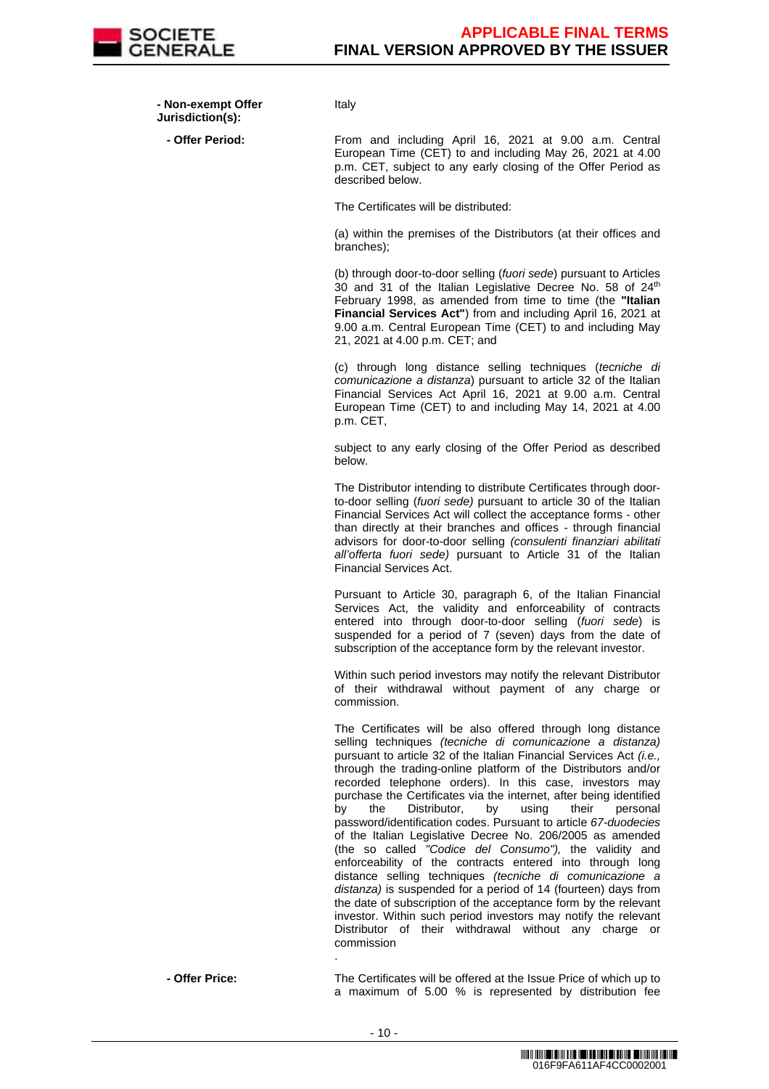

 **- Non-exempt Offer Jurisdiction(s):**

Italy

 **- Offer Period:** From and including April 16, 2021 at 9.00 a.m. Central European Time (CET) to and including May 26, 2021 at 4.00 p.m. CET, subject to any early closing of the Offer Period as described below.

The Certificates will be distributed:

(a) within the premises of the Distributors (at their offices and branches);

(b) through door-to-door selling (fuori sede) pursuant to Articles 30 and 31 of the Italian Legislative Decree No. 58 of 24<sup>th</sup> February 1998, as amended from time to time (the **"Italian Financial Services Act"**) from and including April 16, 2021 at 9.00 a.m. Central European Time (CET) to and including May 21, 2021 at 4.00 p.m. CET; and

(c) through long distance selling techniques (tecniche di comunicazione a distanza) pursuant to article 32 of the Italian Financial Services Act April 16, 2021 at 9.00 a.m. Central European Time (CET) to and including May 14, 2021 at 4.00 p.m. CET,

subject to any early closing of the Offer Period as described below.

The Distributor intending to distribute Certificates through doorto-door selling (fuori sede) pursuant to article 30 of the Italian Financial Services Act will collect the acceptance forms - other than directly at their branches and offices - through financial advisors for door-to-door selling (consulenti finanziari abilitati all'offerta fuori sede) pursuant to Article 31 of the Italian Financial Services Act.

Pursuant to Article 30, paragraph 6, of the Italian Financial Services Act, the validity and enforceability of contracts entered into through door-to-door selling (fuori sede) is suspended for a period of 7 (seven) days from the date of subscription of the acceptance form by the relevant investor.

Within such period investors may notify the relevant Distributor of their withdrawal without payment of any charge or commission.

The Certificates will be also offered through long distance selling techniques (tecniche di comunicazione a distanza) pursuant to article 32 of the Italian Financial Services Act (i.e., through the trading-online platform of the Distributors and/or recorded telephone orders). In this case, investors may purchase the Certificates via the internet, after being identified by the Distributor, by using their personal password/identification codes. Pursuant to article 67-duodecies of the Italian Legislative Decree No. 206/2005 as amended (the so called "Codice del Consumo"), the validity and enforceability of the contracts entered into through long distance selling techniques (tecniche di comunicazione a distanza) is suspended for a period of 14 (fourteen) days from the date of subscription of the acceptance form by the relevant investor. Within such period investors may notify the relevant Distributor of their withdrawal without any charge or commission

 **- Offer Price:** The Certificates will be offered at the Issue Price of which up to a maximum of 5.00 % is represented by distribution fee

.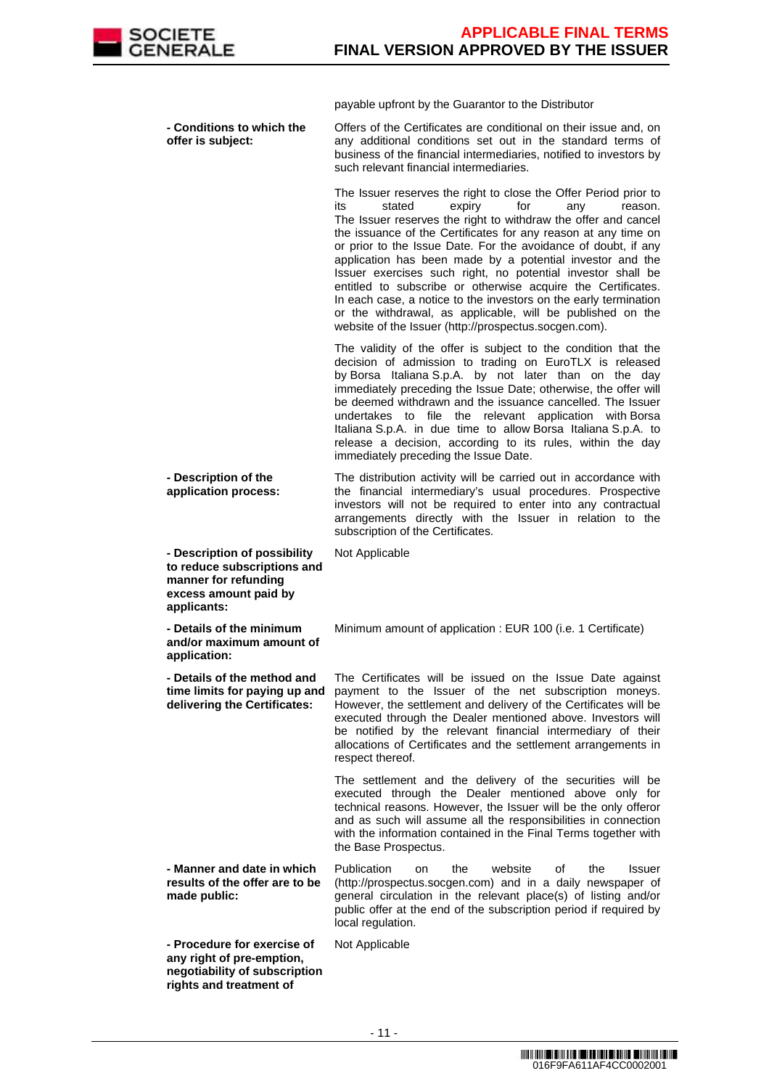

payable upfront by the Guarantor to the Distributor

 **- Conditions to which the offer is subject:** Offers of the Certificates are conditional on their issue and, on any additional conditions set out in the standard terms of business of the financial intermediaries, notified to investors by such relevant financial intermediaries. The Issuer reserves the right to close the Offer Period prior to its stated expiry for any reason. The Issuer reserves the right to withdraw the offer and cancel the issuance of the Certificates for any reason at any time on or prior to the Issue Date. For the avoidance of doubt, if any application has been made by a potential investor and the Issuer exercises such right, no potential investor shall be entitled to subscribe or otherwise acquire the Certificates. In each case, a notice to the investors on the early termination or the withdrawal, as applicable, will be published on the website of the Issuer (http://prospectus.socgen.com). The validity of the offer is subject to the condition that the decision of admission to trading on EuroTLX is released by Borsa Italiana S.p.A. by not later than on the day immediately preceding the Issue Date; otherwise, the offer will be deemed withdrawn and the issuance cancelled. The Issuer undertakes to file the relevant application with Borsa Italiana S.p.A. in due time to allow Borsa Italiana S.p.A. to release a decision, according to its rules, within the day immediately preceding the Issue Date. **- Description of the application process:** The distribution activity will be carried out in accordance with the financial intermediary's usual procedures. Prospective investors will not be required to enter into any contractual arrangements directly with the Issuer in relation to the subscription of the Certificates. **- Description of possibility to reduce subscriptions and manner for refunding excess amount paid by applicants:** Not Applicable **- Details of the minimum and/or maximum amount of application:** Minimum amount of application : EUR 100 (i.e. 1 Certificate) **- Details of the method and time limits for paying up and delivering the Certificates:** The Certificates will be issued on the Issue Date against payment to the Issuer of the net subscription moneys. However, the settlement and delivery of the Certificates will be executed through the Dealer mentioned above. Investors will be notified by the relevant financial intermediary of their allocations of Certificates and the settlement arrangements in respect thereof. The settlement and the delivery of the securities will be executed through the Dealer mentioned above only for technical reasons. However, the Issuer will be the only offeror and as such will assume all the responsibilities in connection with the information contained in the Final Terms together with the Base Prospectus. **- Manner and date in which results of the offer are to be made public:** Publication on the website of the Issuer (http://prospectus.socgen.com) and in a daily newspaper of general circulation in the relevant place(s) of listing and/or public offer at the end of the subscription period if required by local regulation. **- Procedure for exercise of any right of pre-emption, negotiability of subscription rights and treatment of**  Not Applicable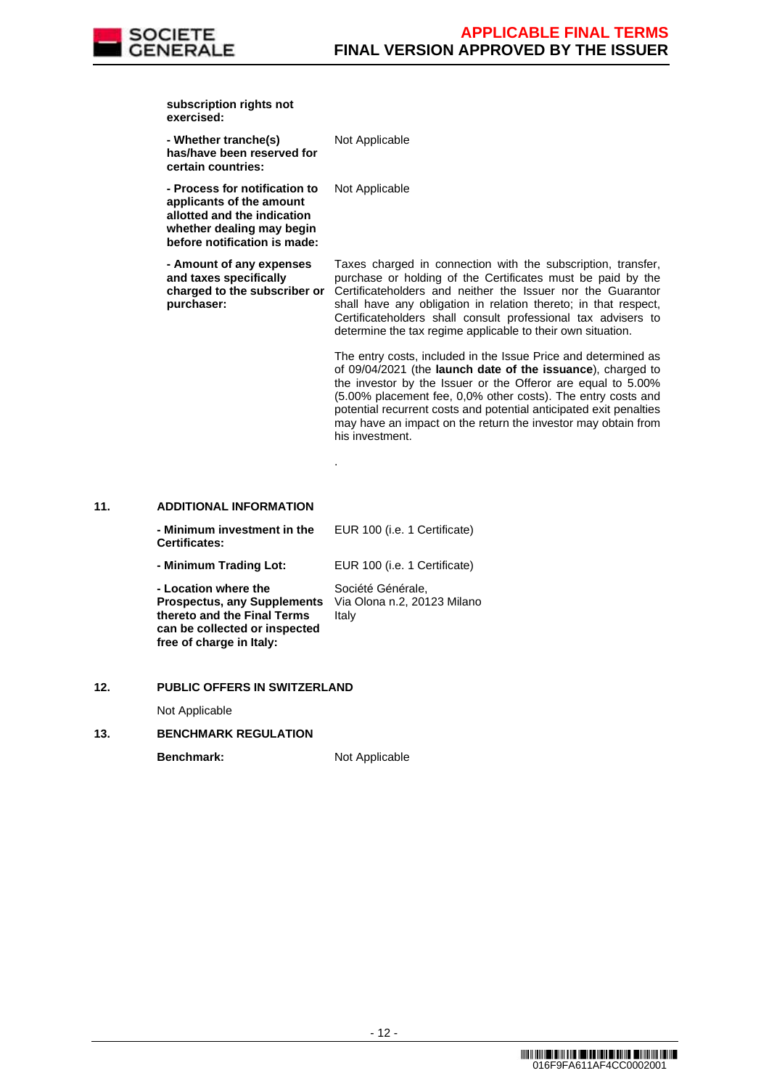

| subscription rights not<br>exercised:                                                                                                                 |                                                                                                                                                                                                                                                                                                                                                                                                                         |
|-------------------------------------------------------------------------------------------------------------------------------------------------------|-------------------------------------------------------------------------------------------------------------------------------------------------------------------------------------------------------------------------------------------------------------------------------------------------------------------------------------------------------------------------------------------------------------------------|
| - Whether tranche(s)<br>has/have been reserved for<br>certain countries:                                                                              | Not Applicable                                                                                                                                                                                                                                                                                                                                                                                                          |
| - Process for notification to<br>applicants of the amount<br>allotted and the indication<br>whether dealing may begin<br>before notification is made: | Not Applicable                                                                                                                                                                                                                                                                                                                                                                                                          |
| - Amount of any expenses<br>and taxes specifically<br>charged to the subscriber or<br>purchaser:                                                      | Taxes charged in connection with the subscription, transfer,<br>purchase or holding of the Certificates must be paid by the<br>Certificateholders and neither the Issuer nor the Guarantor<br>shall have any obligation in relation thereto; in that respect,<br>Certificateholders shall consult professional tax advisers to<br>determine the tax regime applicable to their own situation.                           |
|                                                                                                                                                       | The entry costs, included in the Issue Price and determined as<br>of 09/04/2021 (the launch date of the issuance), charged to<br>the investor by the Issuer or the Offeror are equal to 5.00%<br>(5.00% placement fee, 0,0% other costs). The entry costs and<br>potential recurrent costs and potential anticipated exit penalties<br>may have an impact on the return the investor may obtain from<br>his investment. |

**11. ADDITIONAL INFORMATION**

| - Minimum investment in the<br><b>Certificates:</b>                                       | EUR 100 (i.e. 1 Certificate)                              |
|-------------------------------------------------------------------------------------------|-----------------------------------------------------------|
| - Minimum Trading Lot:                                                                    | EUR 100 (i.e. 1 Certificate)                              |
| - Location where the<br><b>Prospectus, any Supplements</b><br>thereto and the Final Terms | Société Générale.<br>Via Olona n.2, 20123 Milano<br>Italy |

.

# **12. PUBLIC OFFERS IN SWITZERLAND**

**can be collected or inspected free of charge in Italy:**

Not Applicable

# **13. BENCHMARK REGULATION**

**Benchmark:** Not Applicable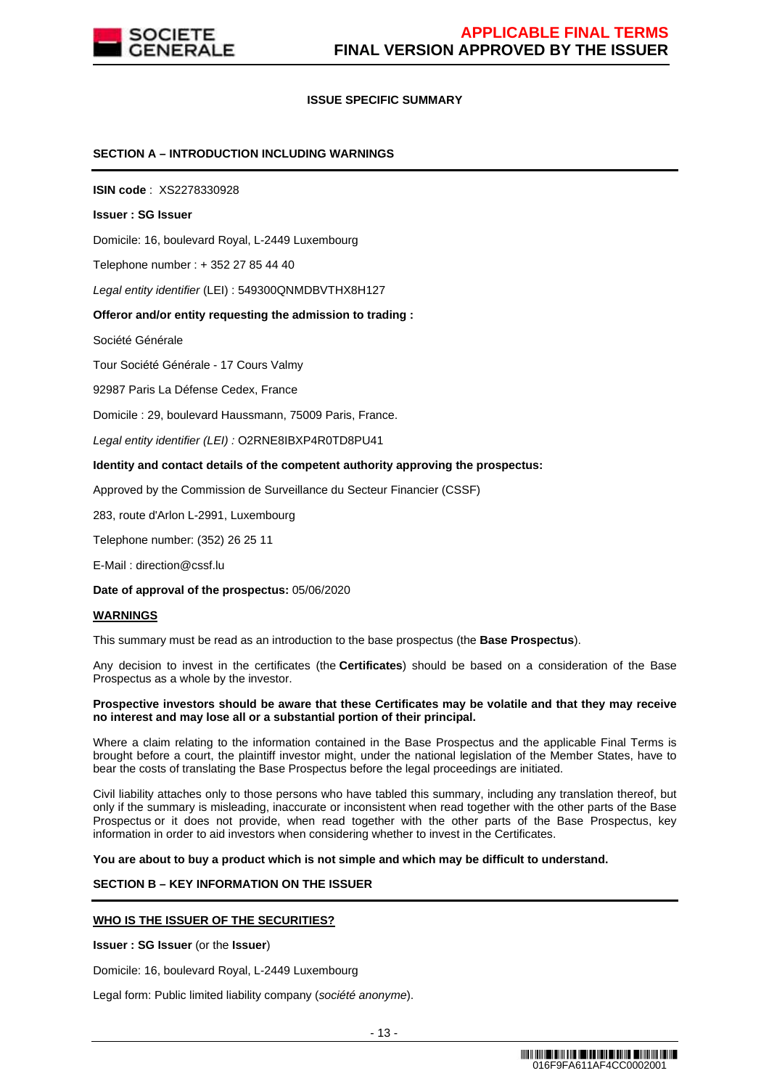

# **ISSUE SPECIFIC SUMMARY**

# **SECTION A – INTRODUCTION INCLUDING WARNINGS**

**ISIN code** : XS2278330928

#### **Issuer : SG Issuer**

Domicile: 16, boulevard Royal, L-2449 Luxembourg

Telephone number : + 352 27 85 44 40

Legal entity identifier (LEI) : 549300QNMDBVTHX8H127

## **Offeror and/or entity requesting the admission to trading :**

Société Générale

Tour Société Générale - 17 Cours Valmy

92987 Paris La Défense Cedex, France

Domicile : 29, boulevard Haussmann, 75009 Paris, France.

Legal entity identifier (LEI) : O2RNE8IBXP4R0TD8PU41

#### **Identity and contact details of the competent authority approving the prospectus:**

Approved by the Commission de Surveillance du Secteur Financier (CSSF)

283, route d'Arlon L-2991, Luxembourg

Telephone number: (352) 26 25 11

E-Mail : direction@cssf.lu

**Date of approval of the prospectus:** 05/06/2020

#### **WARNINGS**

This summary must be read as an introduction to the base prospectus (the **Base Prospectus**).

Any decision to invest in the certificates (the **Certificates**) should be based on a consideration of the Base Prospectus as a whole by the investor.

#### **Prospective investors should be aware that these Certificates may be volatile and that they may receive no interest and may lose all or a substantial portion of their principal.**

Where a claim relating to the information contained in the Base Prospectus and the applicable Final Terms is brought before a court, the plaintiff investor might, under the national legislation of the Member States, have to bear the costs of translating the Base Prospectus before the legal proceedings are initiated.

Civil liability attaches only to those persons who have tabled this summary, including any translation thereof, but only if the summary is misleading, inaccurate or inconsistent when read together with the other parts of the Base Prospectus or it does not provide, when read together with the other parts of the Base Prospectus, key information in order to aid investors when considering whether to invest in the Certificates.

**You are about to buy a product which is not simple and which may be difficult to understand.**

# **SECTION B – KEY INFORMATION ON THE ISSUER**

## **WHO IS THE ISSUER OF THE SECURITIES?**

**Issuer : SG Issuer** (or the **Issuer**)

Domicile: 16, boulevard Royal, L-2449 Luxembourg

Legal form: Public limited liability company (société anonyme).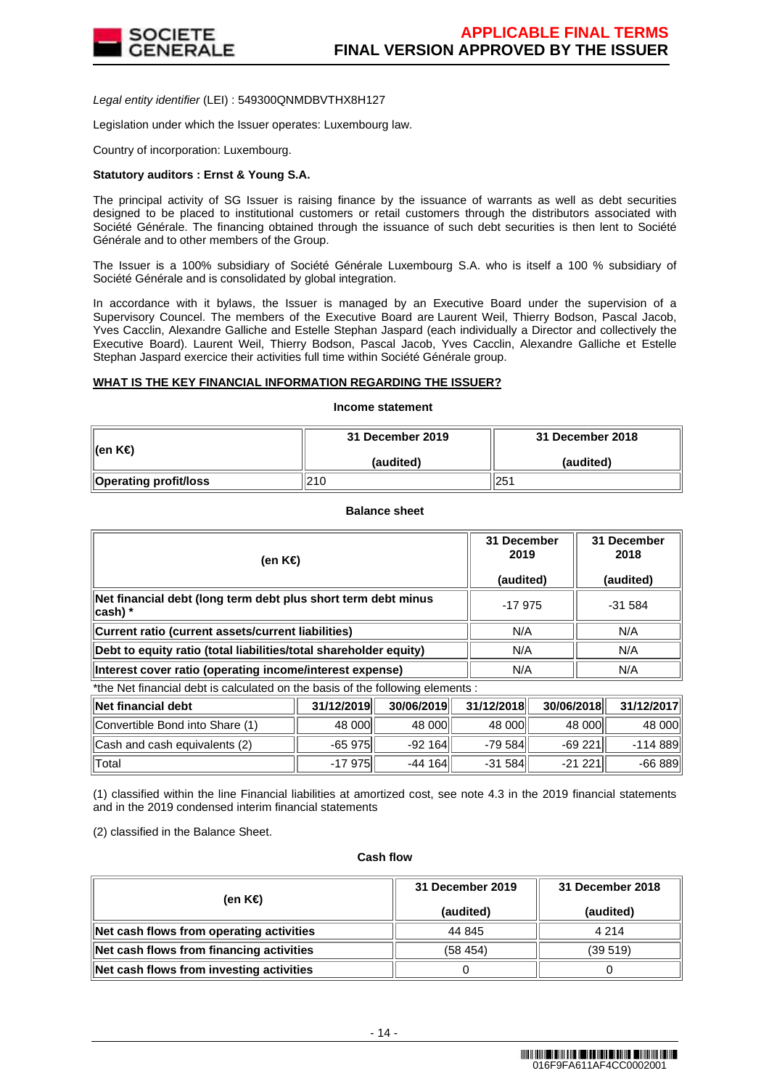

Legal entity identifier (LEI) : 549300QNMDBVTHX8H127

Legislation under which the Issuer operates: Luxembourg law.

Country of incorporation: Luxembourg.

## **Statutory auditors : Ernst & Young S.A.**

The principal activity of SG Issuer is raising finance by the issuance of warrants as well as debt securities designed to be placed to institutional customers or retail customers through the distributors associated with Société Générale. The financing obtained through the issuance of such debt securities is then lent to Société Générale and to other members of the Group.

The Issuer is a 100% subsidiary of Société Générale Luxembourg S.A. who is itself a 100 % subsidiary of Société Générale and is consolidated by global integration.

In accordance with it bylaws, the Issuer is managed by an Executive Board under the supervision of a Supervisory Councel. The members of the Executive Board are Laurent Weil, Thierry Bodson, Pascal Jacob, Yves Cacclin, Alexandre Galliche and Estelle Stephan Jaspard (each individually a Director and collectively the Executive Board). Laurent Weil, Thierry Bodson, Pascal Jacob, Yves Cacclin, Alexandre Galliche et Estelle Stephan Jaspard exercice their activities full time within Société Générale group.

## **WHAT IS THE KEY FINANCIAL INFORMATION REGARDING THE ISSUER?**

# **Income statement**

| ∥(en K€)                     | 31 December 2019 | 31 December 2018 |  |
|------------------------------|------------------|------------------|--|
|                              | (audited)        | (audited)        |  |
| <b>Operating profit/loss</b> | 210              | 251              |  |

**Balance sheet**

| (en K€)                                                                     | 31 December<br>2019<br>(audited) | 31 December<br>2018<br>(audited) |
|-----------------------------------------------------------------------------|----------------------------------|----------------------------------|
| Net financial debt (long term debt plus short term debt minus<br>$ cash) *$ | $-17975$                         | $-31584$                         |
| Current ratio (current assets/current liabilities)                          | N/A                              | N/A                              |
| Debt to equity ratio (total liabilities/total shareholder equity)           | N/A                              | N/A                              |
| Interest cover ratio (operating income/interest expense)                    | N/A                              | N/A                              |

\*the Net financial debt is calculated on the basis of the following elements :

| ∥Net financial debt             | 31/12/2019 | 30/06/2019 | 31/12/2018 | 30/06/2018 | 31/12/2017 |
|---------------------------------|------------|------------|------------|------------|------------|
| Convertible Bond into Share (1) | 48 000     | 48 000     | 48 000     | 48 000     | 48 000     |
| Cash and cash equivalents (2)   | $-65975$   | $-92164$   | $-79584$   | $-69221$   | -114 889   |
| ⊺Total                          | $-17975$   | $-44164$   | $-31584$   | $-21221$   | $-66889$   |

(1) classified within the line Financial liabilities at amortized cost, see note 4.3 in the 2019 financial statements and in the 2019 condensed interim financial statements

(2) classified in the Balance Sheet.

#### **Cash flow**

| (en K€)                                  | 31 December 2019<br>(audited) | 31 December 2018<br>(audited) |
|------------------------------------------|-------------------------------|-------------------------------|
| Net cash flows from operating activities | 44 845                        | 4 2 1 4                       |
| Net cash flows from financing activities | (58454)                       | (39519)                       |
| Net cash flows from investing activities |                               |                               |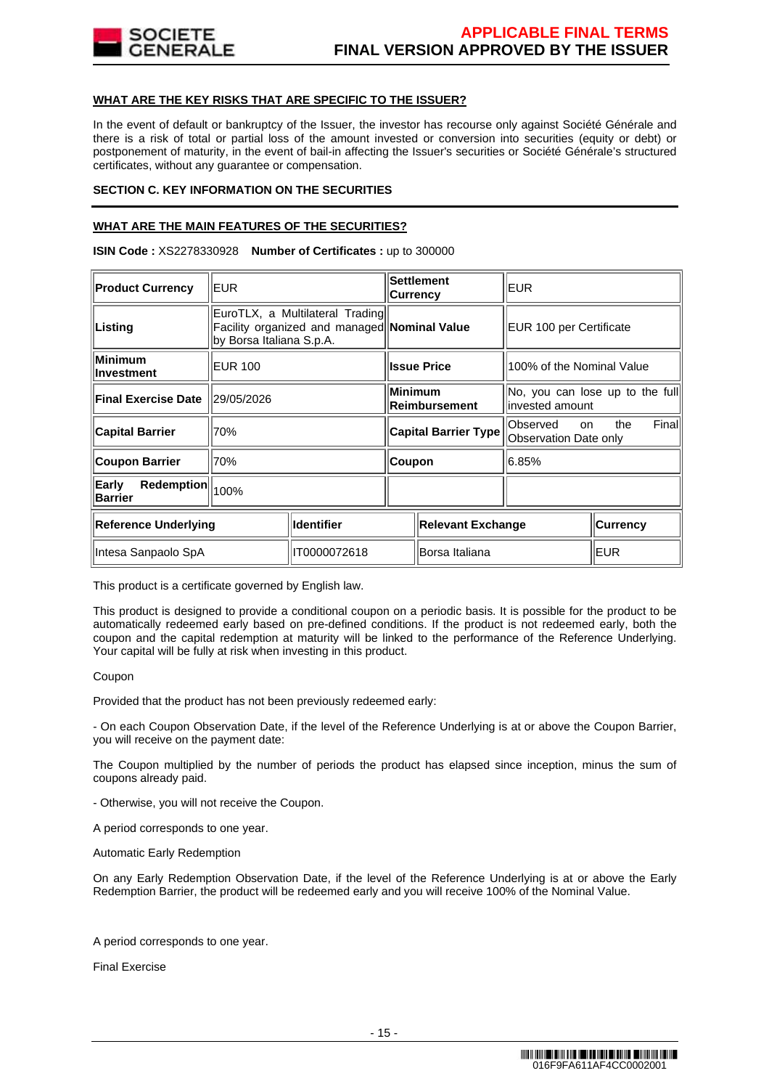

# **WHAT ARE THE KEY RISKS THAT ARE SPECIFIC TO THE ISSUER?**

In the event of default or bankruptcy of the Issuer, the investor has recourse only against Société Générale and there is a risk of total or partial loss of the amount invested or conversion into securities (equity or debt) or postponement of maturity, in the event of bail-in affecting the Issuer's securities or Société Générale's structured certificates, without any guarantee or compensation.

# **SECTION C. KEY INFORMATION ON THE SECURITIES**

# **WHAT ARE THE MAIN FEATURES OF THE SECURITIES?**

**ISIN Code :** XS2278330928 **Number of Certificates :** up to 300000

| <b>Product Currency</b>                   | EUR.                                                                                                        |                          | <b>Settlement</b><br><b>Currency</b> |                    | <b>EUR</b>                                               |            |
|-------------------------------------------|-------------------------------------------------------------------------------------------------------------|--------------------------|--------------------------------------|--------------------|----------------------------------------------------------|------------|
| Listing                                   | EuroTLX, a Multilateral Trading<br>Facility organized and managed Nominal Value<br>by Borsa Italiana S.p.A. |                          |                                      |                    | EUR 100 per Certificate                                  |            |
| Minimum<br>llnvestment                    | <b>EUR 100</b>                                                                                              |                          |                                      | <b>Issue Price</b> | 100% of the Nominal Value                                |            |
| <b>Final Exercise Date</b>                | 29/05/2026                                                                                                  |                          | Minimum<br>Reimbursement             |                    | No, you can lose up to the full<br>linvested amount      |            |
| <b>Capital Barrier</b>                    | 70%                                                                                                         |                          | <b>Capital Barrier Type</b>          |                    | Finall<br>Observed<br>the<br>on<br>Observation Date only |            |
| <b>Coupon Barrier</b>                     | 70%                                                                                                         |                          | Coupon                               |                    | 6.85%                                                    |            |
| Early<br><b>Barrier</b>                   | $\overline{\text{Redemption}}\ _{100\%}$                                                                    |                          |                                      |                    |                                                          |            |
| <b>Identifier</b><br>Reference Underlying |                                                                                                             | <b>Relevant Exchange</b> |                                      |                    | <b>Currency</b>                                          |            |
| Intesa Sanpaolo SpA                       |                                                                                                             | IT0000072618             |                                      | Borsa Italiana     |                                                          | <b>EUR</b> |

This product is a certificate governed by English law.

This product is designed to provide a conditional coupon on a periodic basis. It is possible for the product to be automatically redeemed early based on pre-defined conditions. If the product is not redeemed early, both the coupon and the capital redemption at maturity will be linked to the performance of the Reference Underlying. Your capital will be fully at risk when investing in this product.

## Coupon

Provided that the product has not been previously redeemed early:

- On each Coupon Observation Date, if the level of the Reference Underlying is at or above the Coupon Barrier, you will receive on the payment date:

The Coupon multiplied by the number of periods the product has elapsed since inception, minus the sum of coupons already paid.

- Otherwise, you will not receive the Coupon.

A period corresponds to one year.

Automatic Early Redemption

On any Early Redemption Observation Date, if the level of the Reference Underlying is at or above the Early Redemption Barrier, the product will be redeemed early and you will receive 100% of the Nominal Value.

A period corresponds to one year.

Final Exercise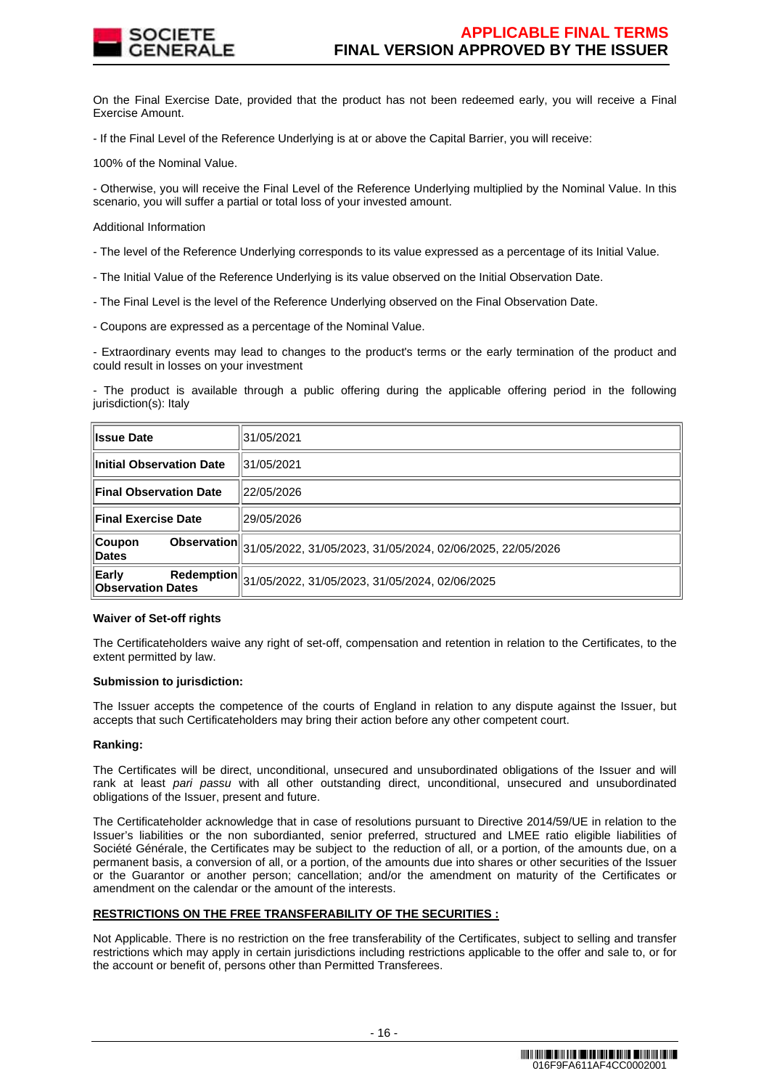

On the Final Exercise Date, provided that the product has not been redeemed early, you will receive a Final Exercise Amount.

- If the Final Level of the Reference Underlying is at or above the Capital Barrier, you will receive:

100% of the Nominal Value.

- Otherwise, you will receive the Final Level of the Reference Underlying multiplied by the Nominal Value. In this scenario, you will suffer a partial or total loss of your invested amount.

Additional Information

- The level of the Reference Underlying corresponds to its value expressed as a percentage of its Initial Value.

- The Initial Value of the Reference Underlying is its value observed on the Initial Observation Date.

- The Final Level is the level of the Reference Underlying observed on the Final Observation Date.

- Coupons are expressed as a percentage of the Nominal Value.

- Extraordinary events may lead to changes to the product's terms or the early termination of the product and could result in losses on your investment

- The product is available through a public offering during the applicable offering period in the following jurisdiction(s): Italy

| <b>Issue Date</b>                        | 31/05/2021                                                                                                     |
|------------------------------------------|----------------------------------------------------------------------------------------------------------------|
| <b>Initial Observation Date</b>          | 31/05/2021                                                                                                     |
| <b>Final Observation Date</b>            | 22/05/2026                                                                                                     |
| <b>Final Exercise Date</b>               | 29/05/2026                                                                                                     |
| Coupon<br><b>Dates</b>                   | $\fbox{\textbf{Observation}}\Big\ _{{31}/{05}/{2022},\ 31}/{05}/{2023},\ 31/05/2024,\ 02/06/2025,\ 22/05/2026$ |
| <b>Early</b><br><b>Observation Dates</b> | Redemption 31/05/2022, 31/05/2023, 31/05/2024, 02/06/2025                                                      |

## **Waiver of Set-off rights**

The Certificateholders waive any right of set-off, compensation and retention in relation to the Certificates, to the extent permitted by law.

## **Submission to jurisdiction:**

The Issuer accepts the competence of the courts of England in relation to any dispute against the Issuer, but accepts that such Certificateholders may bring their action before any other competent court.

## **Ranking:**

The Certificates will be direct, unconditional, unsecured and unsubordinated obligations of the Issuer and will rank at least pari passu with all other outstanding direct, unconditional, unsecured and unsubordinated obligations of the Issuer, present and future.

The Certificateholder acknowledge that in case of resolutions pursuant to Directive 2014/59/UE in relation to the Issuer's liabilities or the non subordianted, senior preferred, structured and LMEE ratio eligible liabilities of Société Générale, the Certificates may be subject to the reduction of all, or a portion, of the amounts due, on a permanent basis, a conversion of all, or a portion, of the amounts due into shares or other securities of the Issuer or the Guarantor or another person; cancellation; and/or the amendment on maturity of the Certificates or amendment on the calendar or the amount of the interests.

# **RESTRICTIONS ON THE FREE TRANSFERABILITY OF THE SECURITIES :**

Not Applicable. There is no restriction on the free transferability of the Certificates, subject to selling and transfer restrictions which may apply in certain jurisdictions including restrictions applicable to the offer and sale to, or for the account or benefit of, persons other than Permitted Transferees.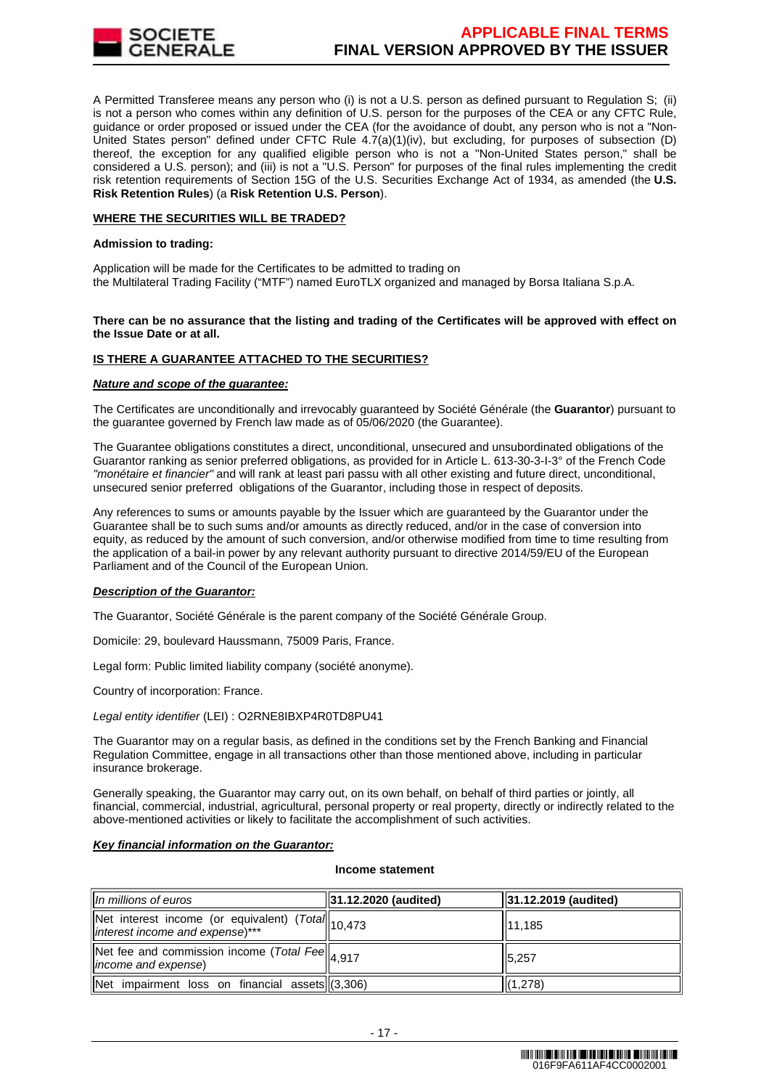

A Permitted Transferee means any person who (i) is not a U.S. person as defined pursuant to Regulation S; (ii) is not a person who comes within any definition of U.S. person for the purposes of the CEA or any CFTC Rule, guidance or order proposed or issued under the CEA (for the avoidance of doubt, any person who is not a "Non-United States person" defined under CFTC Rule 4.7(a)(1)(iv), but excluding, for purposes of subsection (D) thereof, the exception for any qualified eligible person who is not a "Non-United States person," shall be considered a U.S. person); and (iii) is not a "U.S. Person" for purposes of the final rules implementing the credit risk retention requirements of Section 15G of the U.S. Securities Exchange Act of 1934, as amended (the **U.S. Risk Retention Rules**) (a **Risk Retention U.S. Person**).

## **WHERE THE SECURITIES WILL BE TRADED?**

## **Admission to trading:**

Application will be made for the Certificates to be admitted to trading on the Multilateral Trading Facility ("MTF") named EuroTLX organized and managed by Borsa Italiana S.p.A.

# **There can be no assurance that the listing and trading of the Certificates will be approved with effect on the Issue Date or at all.**

# **IS THERE A GUARANTEE ATTACHED TO THE SECURITIES?**

## **Nature and scope of the guarantee:**

The Certificates are unconditionally and irrevocably guaranteed by Société Générale (the **Guarantor**) pursuant to the guarantee governed by French law made as of 05/06/2020 (the Guarantee).

The Guarantee obligations constitutes a direct, unconditional, unsecured and unsubordinated obligations of the Guarantor ranking as senior preferred obligations, as provided for in Article L. 613-30-3-I-3° of the French Code "monétaire et financier" and will rank at least pari passu with all other existing and future direct, unconditional, unsecured senior preferred obligations of the Guarantor, including those in respect of deposits.

Any references to sums or amounts payable by the Issuer which are guaranteed by the Guarantor under the Guarantee shall be to such sums and/or amounts as directly reduced, and/or in the case of conversion into equity, as reduced by the amount of such conversion, and/or otherwise modified from time to time resulting from the application of a bail-in power by any relevant authority pursuant to directive 2014/59/EU of the European Parliament and of the Council of the European Union.

## **Description of the Guarantor:**

The Guarantor, Société Générale is the parent company of the Société Générale Group.

Domicile: 29, boulevard Haussmann, 75009 Paris, France.

Legal form: Public limited liability company (société anonyme).

Country of incorporation: France.

# Legal entity identifier (LEI) : O2RNE8IBXP4R0TD8PU41

The Guarantor may on a regular basis, as defined in the conditions set by the French Banking and Financial Regulation Committee, engage in all transactions other than those mentioned above, including in particular insurance brokerage.

Generally speaking, the Guarantor may carry out, on its own behalf, on behalf of third parties or jointly, all financial, commercial, industrial, agricultural, personal property or real property, directly or indirectly related to the above-mentioned activities or likely to facilitate the accomplishment of such activities.

## **Key financial information on the Guarantor:**

#### **Income statement**

| $\parallel$ In millions of euros                                                          | <b>31.12.2020 (audited)</b> | $ 31.12.2019$ (audited) |
|-------------------------------------------------------------------------------------------|-----------------------------|-------------------------|
| Net interest income (or equivalent) ( $Total$ )<br>interest income and expense)***        |                             | 11,185                  |
| Net fee and commission income (Total Fee $\left\ _{4,917}\right\ $<br>income and expense) |                             | 5,257                   |
| Net impairment loss on financial assets (3,306)                                           |                             | (1,278)                 |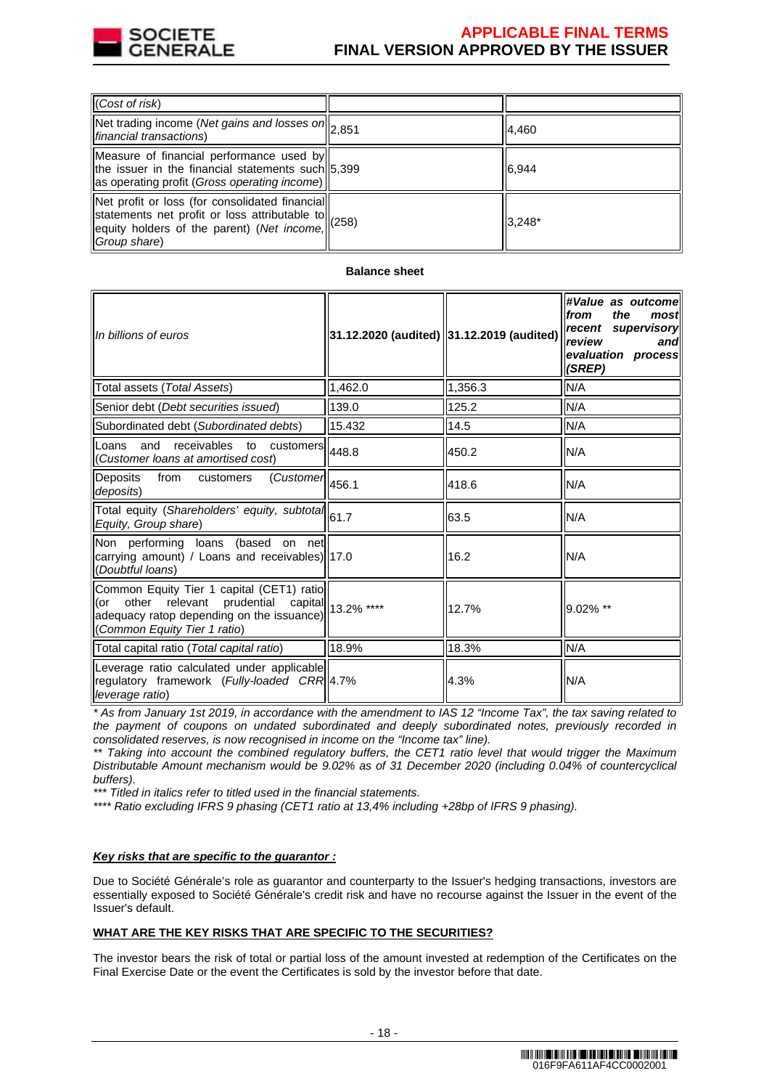

| $\vert$ (Cost of risk)                                                                                                                                                         |          |
|--------------------------------------------------------------------------------------------------------------------------------------------------------------------------------|----------|
| $\sqrt{\text{Net trading income (Net gains and losses on}}$ $2,851$<br>financial transactions)                                                                                 | 4,460    |
| Measure of financial performance used by<br>the issuer in the financial statements such 5,399<br>as operating profit (Gross operating income)                                  | 6,944    |
| Net profit or loss (for consolidated financial)<br>statements net profit or loss attributable to $\frac{1}{258}$<br>equity holders of the parent) (Net income,<br>Group share) | $3.248*$ |

# **Balance sheet**

| In billions of euros                                                                                                                                                            | 31.12.2020 (audited) 31.12.2019 (audited) |         | #Value as outcome<br>the<br>from<br>most<br>recent supervisory<br>review<br>and<br>evaluation process<br>(SREP) |
|---------------------------------------------------------------------------------------------------------------------------------------------------------------------------------|-------------------------------------------|---------|-----------------------------------------------------------------------------------------------------------------|
| Total assets (Total Assets)                                                                                                                                                     | 1,462.0                                   | 1,356.3 | N/A                                                                                                             |
| Senior debt (Debt securities issued)                                                                                                                                            | 139.0                                     | 125.2   | N/A                                                                                                             |
| Subordinated debt (Subordinated debts)                                                                                                                                          | 15.432                                    | 14.5    | N/A                                                                                                             |
| $\overline{\text{receivables}}$ to customers 448.8<br>and<br>Loans<br>(Customer loans at amortised cost)                                                                        |                                           | 450.2   | N/A                                                                                                             |
| Deposits<br>from customers<br>$\overline{\text{(Customer)}}$ 456.1<br>deposits)                                                                                                 |                                           | 418.6   | N/A                                                                                                             |
| Total equity (Shareholders' equity, subtotal 61.7<br>Equity, Group share)                                                                                                       |                                           | 63.5    | N/A                                                                                                             |
| Non performing loans (based on net<br>carrying amount) / Loans and receivables) 17.0<br>(Doubtful loans)                                                                        |                                           | 16.2    | N/A                                                                                                             |
| Common Equity Tier 1 capital (CET1) ratio<br>lookunion Equity of The Prudential capital 13.2% ****<br>adequacy ratop depending on the issuance)<br>(Common Equity Tier 1 ratio) |                                           | 12.7%   | 9.02% **                                                                                                        |
| Total capital ratio (Total capital ratio)                                                                                                                                       | 18.9%                                     | 18.3%   | N/A                                                                                                             |
| Leverage ratio calculated under applicable<br>regulatory framework (Fully-loaded CRR 4.7%<br>leverage ratio)                                                                    |                                           | 4.3%    | N/A                                                                                                             |

\* As from January 1st 2019, in accordance with the amendment to IAS 12 "Income Tax", the tax saving related to the payment of coupons on undated subordinated and deeply subordinated notes, previously recorded in consolidated reserves, is now recognised in income on the "Income tax" line).

\*\* Taking into account the combined regulatory buffers, the CET1 ratio level that would trigger the Maximum Distributable Amount mechanism would be 9.02% as of 31 December 2020 (including 0.04% of countercyclical buffers).

\*\*\* Titled in italics refer to titled used in the financial statements.

\*\*\*\* Ratio excluding IFRS 9 phasing (CET1 ratio at 13,4% including +28bp of IFRS 9 phasing).

## **Key risks that are specific to the guarantor :**

Due to Société Générale's role as guarantor and counterparty to the Issuer's hedging transactions, investors are essentially exposed to Société Générale's credit risk and have no recourse against the Issuer in the event of the Issuer's default.

## **WHAT ARE THE KEY RISKS THAT ARE SPECIFIC TO THE SECURITIES?**

The investor bears the risk of total or partial loss of the amount invested at redemption of the Certificates on the Final Exercise Date or the event the Certificates is sold by the investor before that date.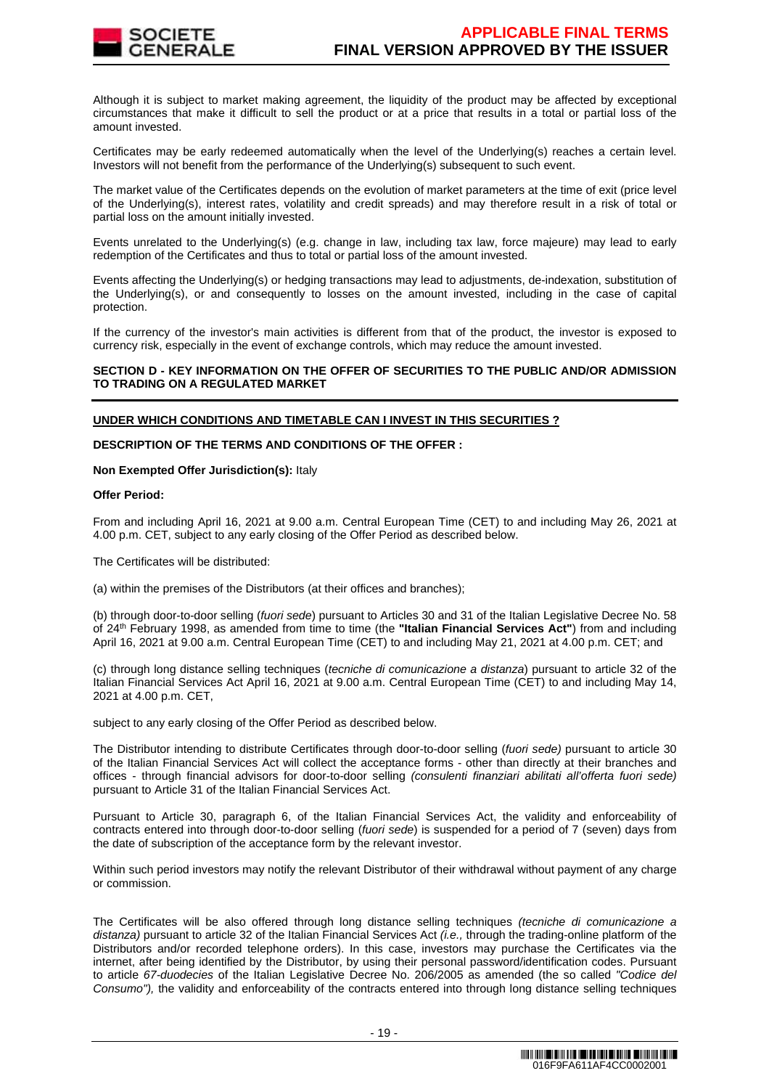

Although it is subject to market making agreement, the liquidity of the product may be affected by exceptional circumstances that make it difficult to sell the product or at a price that results in a total or partial loss of the amount invested.

Certificates may be early redeemed automatically when the level of the Underlying(s) reaches a certain level. Investors will not benefit from the performance of the Underlying(s) subsequent to such event.

The market value of the Certificates depends on the evolution of market parameters at the time of exit (price level of the Underlying(s), interest rates, volatility and credit spreads) and may therefore result in a risk of total or partial loss on the amount initially invested.

Events unrelated to the Underlying(s) (e.g. change in law, including tax law, force majeure) may lead to early redemption of the Certificates and thus to total or partial loss of the amount invested.

Events affecting the Underlying(s) or hedging transactions may lead to adjustments, de-indexation, substitution of the Underlying(s), or and consequently to losses on the amount invested, including in the case of capital protection.

If the currency of the investor's main activities is different from that of the product, the investor is exposed to currency risk, especially in the event of exchange controls, which may reduce the amount invested.

# **SECTION D - KEY INFORMATION ON THE OFFER OF SECURITIES TO THE PUBLIC AND/OR ADMISSION TO TRADING ON A REGULATED MARKET**

# **UNDER WHICH CONDITIONS AND TIMETABLE CAN I INVEST IN THIS SECURITIES ?**

# **DESCRIPTION OF THE TERMS AND CONDITIONS OF THE OFFER :**

## **Non Exempted Offer Jurisdiction(s):** Italy

# **Offer Period:**

From and including April 16, 2021 at 9.00 a.m. Central European Time (CET) to and including May 26, 2021 at 4.00 p.m. CET, subject to any early closing of the Offer Period as described below.

The Certificates will be distributed:

(a) within the premises of the Distributors (at their offices and branches);

(b) through door-to-door selling (fuori sede) pursuant to Articles 30 and 31 of the Italian Legislative Decree No. 58 of 24th February 1998, as amended from time to time (the **"Italian Financial Services Act"**) from and including April 16, 2021 at 9.00 a.m. Central European Time (CET) to and including May 21, 2021 at 4.00 p.m. CET; and

(c) through long distance selling techniques (tecniche di comunicazione a distanza) pursuant to article 32 of the Italian Financial Services Act April 16, 2021 at 9.00 a.m. Central European Time (CET) to and including May 14, 2021 at 4.00 p.m. CET,

subject to any early closing of the Offer Period as described below.

The Distributor intending to distribute Certificates through door-to-door selling (fuori sede) pursuant to article 30 of the Italian Financial Services Act will collect the acceptance forms - other than directly at their branches and offices - through financial advisors for door-to-door selling (consulenti finanziari abilitati all'offerta fuori sede) pursuant to Article 31 of the Italian Financial Services Act.

Pursuant to Article 30, paragraph 6, of the Italian Financial Services Act, the validity and enforceability of contracts entered into through door-to-door selling (fuori sede) is suspended for a period of 7 (seven) days from the date of subscription of the acceptance form by the relevant investor.

Within such period investors may notify the relevant Distributor of their withdrawal without payment of any charge or commission.

The Certificates will be also offered through long distance selling techniques (tecniche di comunicazione a distanza) pursuant to article 32 of the Italian Financial Services Act  $(i.e.,$  through the trading-online platform of the Distributors and/or recorded telephone orders). In this case, investors may purchase the Certificates via the internet, after being identified by the Distributor, by using their personal password/identification codes. Pursuant to article 67-duodecies of the Italian Legislative Decree No. 206/2005 as amended (the so called "Codice del Consumo"), the validity and enforceability of the contracts entered into through long distance selling techniques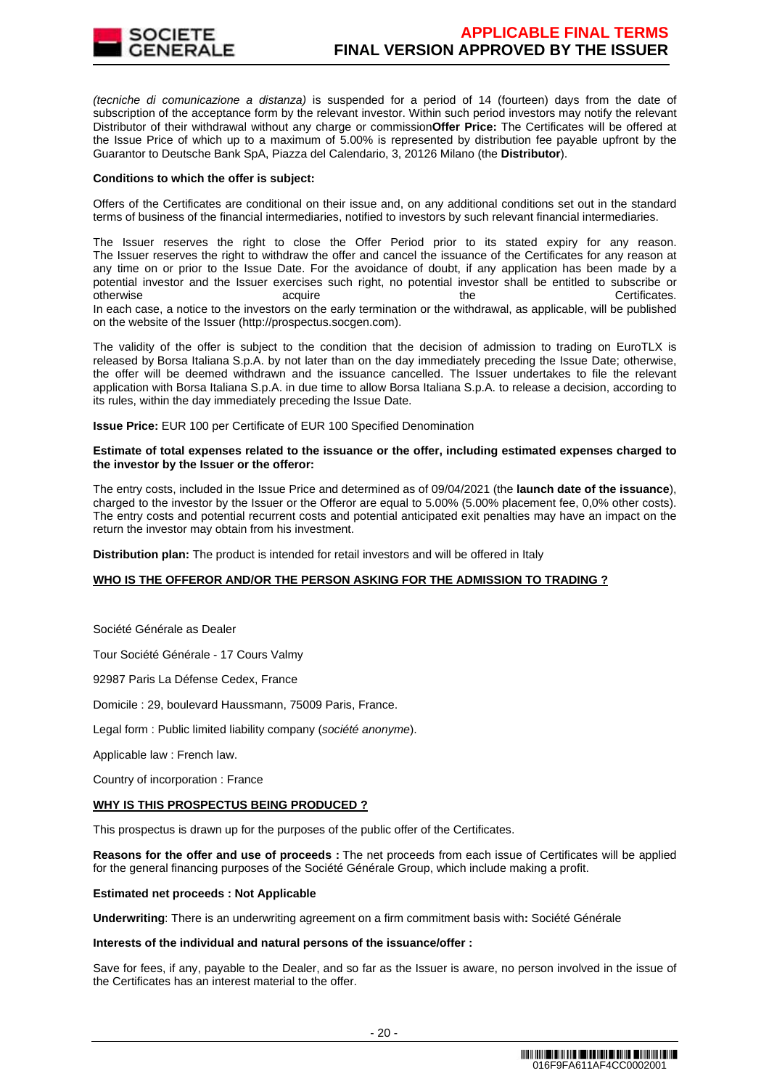

(tecniche di comunicazione a distanza) is suspended for a period of 14 (fourteen) days from the date of subscription of the acceptance form by the relevant investor. Within such period investors may notify the relevant Distributor of their withdrawal without any charge or commission**Offer Price:** The Certificates will be offered at the Issue Price of which up to a maximum of 5.00% is represented by distribution fee payable upfront by the Guarantor to Deutsche Bank SpA, Piazza del Calendario, 3, 20126 Milano (the **Distributor**).

## **Conditions to which the offer is subject:**

Offers of the Certificates are conditional on their issue and, on any additional conditions set out in the standard terms of business of the financial intermediaries, notified to investors by such relevant financial intermediaries.

The Issuer reserves the right to close the Offer Period prior to its stated expiry for any reason. The Issuer reserves the right to withdraw the offer and cancel the issuance of the Certificates for any reason at any time on or prior to the Issue Date. For the avoidance of doubt, if any application has been made by a potential investor and the Issuer exercises such right, no potential investor shall be entitled to subscribe or otherwise acquire acquire the the Certificates. In each case, a notice to the investors on the early termination or the withdrawal, as applicable, will be published on the website of the Issuer (http://prospectus.socgen.com).

The validity of the offer is subject to the condition that the decision of admission to trading on EuroTLX is released by Borsa Italiana S.p.A. by not later than on the day immediately preceding the Issue Date; otherwise, the offer will be deemed withdrawn and the issuance cancelled. The Issuer undertakes to file the relevant application with Borsa Italiana S.p.A. in due time to allow Borsa Italiana S.p.A. to release a decision, according to its rules, within the day immediately preceding the Issue Date.

**Issue Price:** EUR 100 per Certificate of EUR 100 Specified Denomination

#### **Estimate of total expenses related to the issuance or the offer, including estimated expenses charged to the investor by the Issuer or the offeror:**

The entry costs, included in the Issue Price and determined as of 09/04/2021 (the **launch date of the issuance**), charged to the investor by the Issuer or the Offeror are equal to 5.00% (5.00% placement fee, 0,0% other costs). The entry costs and potential recurrent costs and potential anticipated exit penalties may have an impact on the return the investor may obtain from his investment.

**Distribution plan:** The product is intended for retail investors and will be offered in Italy

# **WHO IS THE OFFEROR AND/OR THE PERSON ASKING FOR THE ADMISSION TO TRADING ?**

Société Générale as Dealer

Tour Société Générale - 17 Cours Valmy

92987 Paris La Défense Cedex, France

Domicile : 29, boulevard Haussmann, 75009 Paris, France.

Legal form : Public limited liability company (société anonyme).

Applicable law : French law.

Country of incorporation : France

## **WHY IS THIS PROSPECTUS BEING PRODUCED ?**

This prospectus is drawn up for the purposes of the public offer of the Certificates.

**Reasons for the offer and use of proceeds :** The net proceeds from each issue of Certificates will be applied for the general financing purposes of the Société Générale Group, which include making a profit.

#### **Estimated net proceeds : Not Applicable**

**Underwriting**: There is an underwriting agreement on a firm commitment basis with**:** Société Générale

## **Interests of the individual and natural persons of the issuance/offer :**

Save for fees, if any, payable to the Dealer, and so far as the Issuer is aware, no person involved in the issue of the Certificates has an interest material to the offer.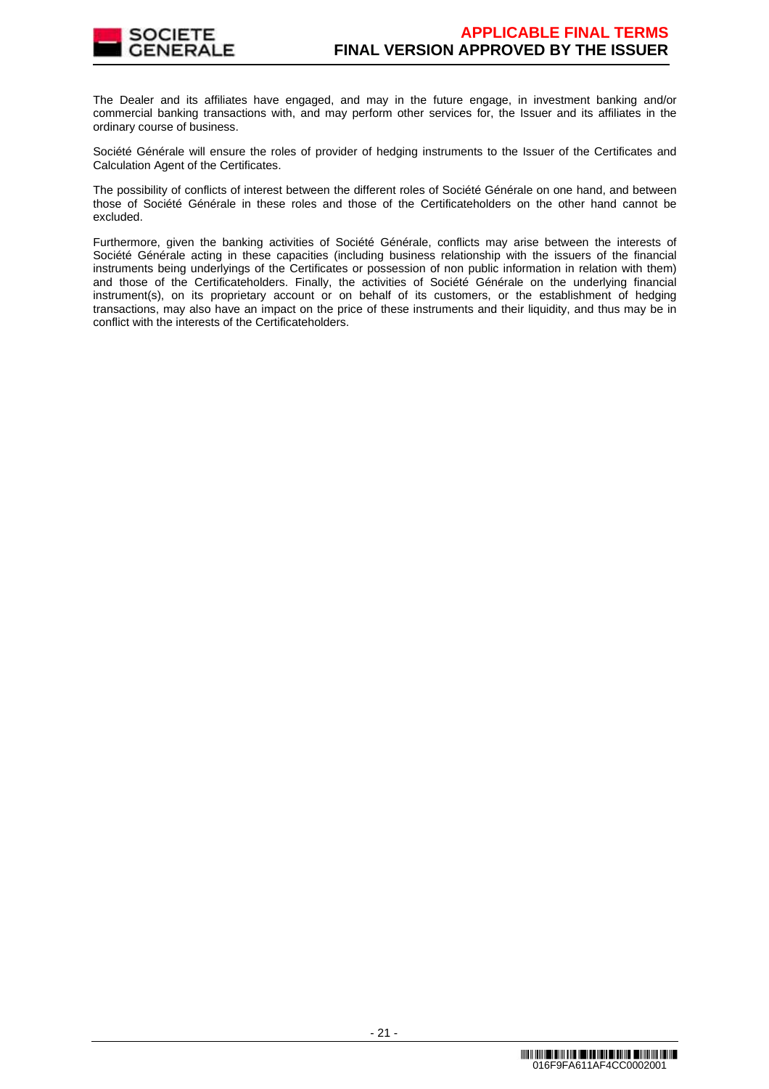

The Dealer and its affiliates have engaged, and may in the future engage, in investment banking and/or commercial banking transactions with, and may perform other services for, the Issuer and its affiliates in the ordinary course of business.

Société Générale will ensure the roles of provider of hedging instruments to the Issuer of the Certificates and Calculation Agent of the Certificates.

The possibility of conflicts of interest between the different roles of Société Générale on one hand, and between those of Société Générale in these roles and those of the Certificateholders on the other hand cannot be excluded.

Furthermore, given the banking activities of Société Générale, conflicts may arise between the interests of Société Générale acting in these capacities (including business relationship with the issuers of the financial instruments being underlyings of the Certificates or possession of non public information in relation with them) and those of the Certificateholders. Finally, the activities of Société Générale on the underlying financial instrument(s), on its proprietary account or on behalf of its customers, or the establishment of hedging transactions, may also have an impact on the price of these instruments and their liquidity, and thus may be in conflict with the interests of the Certificateholders.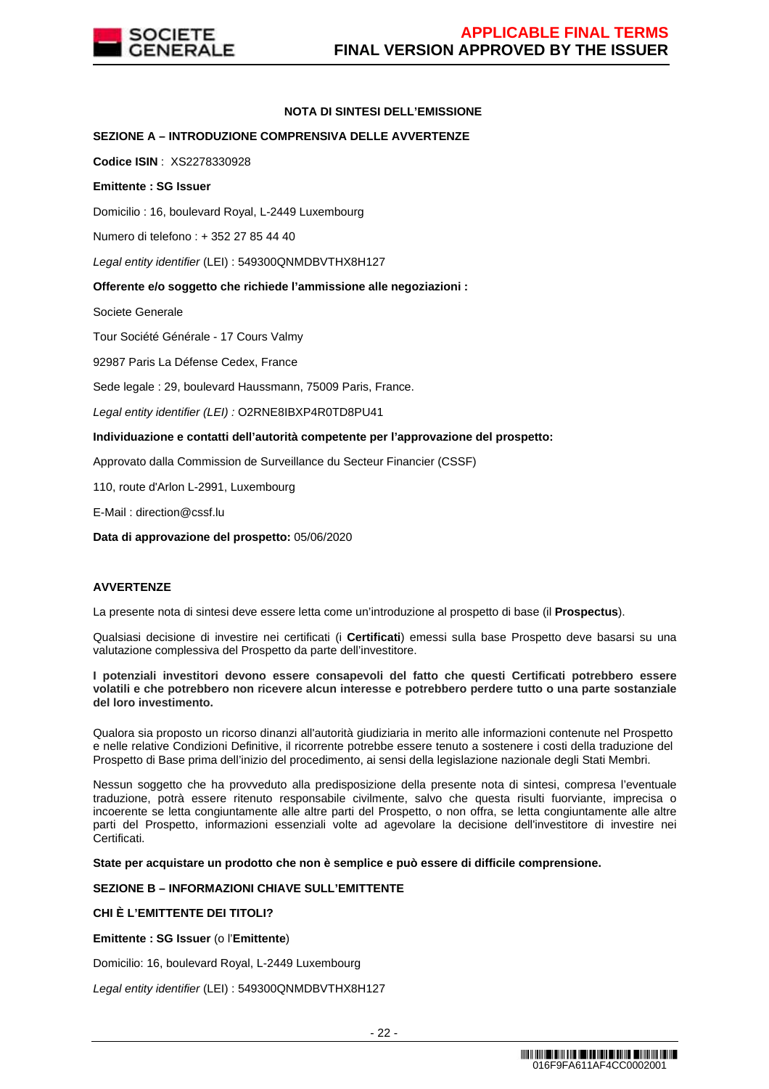

# **NOTA DI SINTESI DELL'EMISSIONE**

# **SEZIONE A – INTRODUZIONE COMPRENSIVA DELLE AVVERTENZE**

**Codice ISIN** : XS2278330928

## **Emittente : SG Issuer**

Domicilio : 16, boulevard Royal, L-2449 Luxembourg

Numero di telefono : + 352 27 85 44 40

Legal entity identifier (LEI) : 549300QNMDBVTHX8H127

# **Offerente e/o soggetto che richiede l'ammissione alle negoziazioni :**

Societe Generale

Tour Société Générale - 17 Cours Valmy

92987 Paris La Défense Cedex, France

Sede legale : 29, boulevard Haussmann, 75009 Paris, France.

Legal entity identifier (LEI) : O2RNE8IBXP4R0TD8PU41

# **Individuazione e contatti dell'autorità competente per l'approvazione del prospetto:**

Approvato dalla Commission de Surveillance du Secteur Financier (CSSF)

110, route d'Arlon L-2991, Luxembourg

E-Mail : direction@cssf.lu

**Data di approvazione del prospetto:** 05/06/2020

## **AVVERTENZE**

La presente nota di sintesi deve essere letta come un'introduzione al prospetto di base (il **Prospectus**).

Qualsiasi decisione di investire nei certificati (i **Certificati**) emessi sulla base Prospetto deve basarsi su una valutazione complessiva del Prospetto da parte dell'investitore.

**I potenziali investitori devono essere consapevoli del fatto che questi Certificati potrebbero essere volatili e che potrebbero non ricevere alcun interesse e potrebbero perdere tutto o una parte sostanziale del loro investimento.** 

Qualora sia proposto un ricorso dinanzi all'autorità giudiziaria in merito alle informazioni contenute nel Prospetto e nelle relative Condizioni Definitive, il ricorrente potrebbe essere tenuto a sostenere i costi della traduzione del Prospetto di Base prima dell'inizio del procedimento, ai sensi della legislazione nazionale degli Stati Membri.

Nessun soggetto che ha provveduto alla predisposizione della presente nota di sintesi, compresa l'eventuale traduzione, potrà essere ritenuto responsabile civilmente, salvo che questa risulti fuorviante, imprecisa o incoerente se letta congiuntamente alle altre parti del Prospetto, o non offra, se letta congiuntamente alle altre parti del Prospetto, informazioni essenziali volte ad agevolare la decisione dell'investitore di investire nei Certificati.

**State per acquistare un prodotto che non è semplice e può essere di difficile comprensione.**

# **SEZIONE B – INFORMAZIONI CHIAVE SULL'EMITTENTE**

# **CHI È L'EMITTENTE DEI TITOLI?**

**Emittente : SG Issuer** (o l'**Emittente**)

Domicilio: 16, boulevard Royal, L-2449 Luxembourg

Legal entity identifier (LEI) : 549300QNMDBVTHX8H127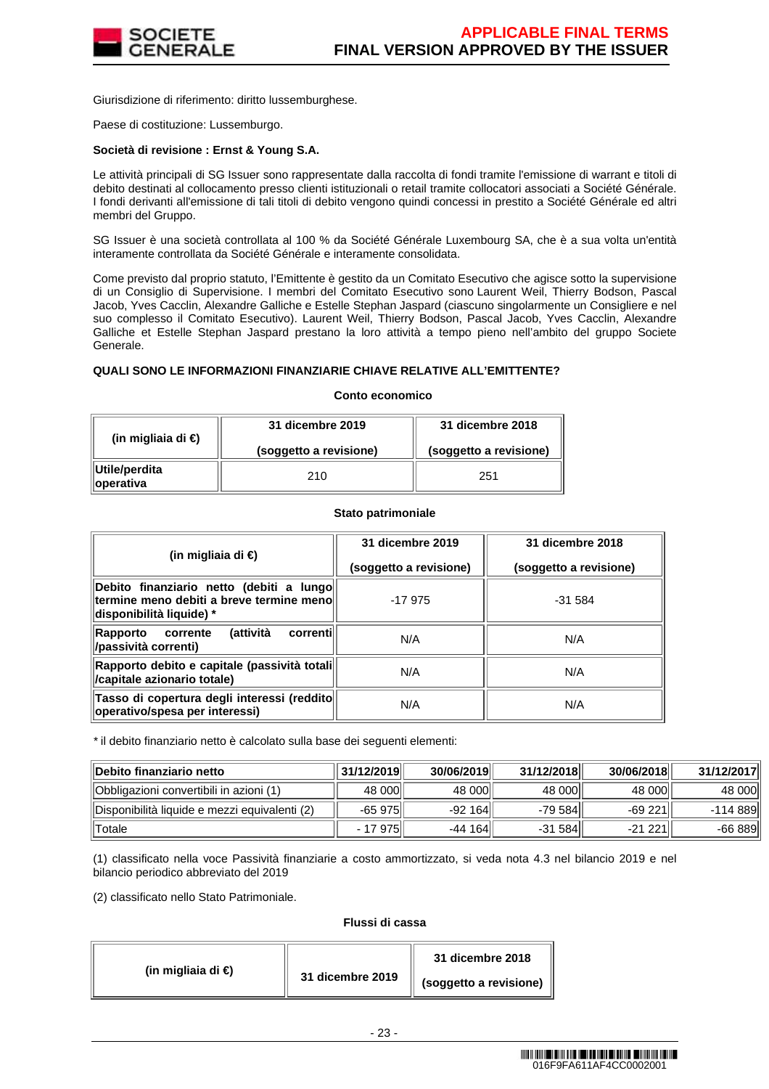

Giurisdizione di riferimento: diritto lussemburghese.

Paese di costituzione: Lussemburgo.

## **Società di revisione : Ernst & Young S.A.**

Le attività principali di SG Issuer sono rappresentate dalla raccolta di fondi tramite l'emissione di warrant e titoli di debito destinati al collocamento presso clienti istituzionali o retail tramite collocatori associati a Société Générale. I fondi derivanti all'emissione di tali titoli di debito vengono quindi concessi in prestito a Société Générale ed altri membri del Gruppo.

SG Issuer è una società controllata al 100 % da Société Générale Luxembourg SA, che è a sua volta un'entità interamente controllata da Société Générale e interamente consolidata.

Come previsto dal proprio statuto, l'Emittente è gestito da un Comitato Esecutivo che agisce sotto la supervisione di un Consiglio di Supervisione. I membri del Comitato Esecutivo sono Laurent Weil, Thierry Bodson, Pascal Jacob, Yves Cacclin, Alexandre Galliche e Estelle Stephan Jaspard (ciascuno singolarmente un Consigliere e nel suo complesso il Comitato Esecutivo). Laurent Weil, Thierry Bodson, Pascal Jacob, Yves Cacclin, Alexandre Galliche et Estelle Stephan Jaspard prestano la loro attività a tempo pieno nell'ambito del gruppo Societe Generale.

## **QUALI SONO LE INFORMAZIONI FINANZIARIE CHIAVE RELATIVE ALL'EMITTENTE?**

#### **Conto economico**

| (in migliaia di €)                  | 31 dicembre 2019<br>(soggetto a revisione) | 31 dicembre 2018<br>(soggetto a revisione) |
|-------------------------------------|--------------------------------------------|--------------------------------------------|
| ∥Utile/perdita<br><b>loperativa</b> | 210                                        | 251                                        |

## **Stato patrimoniale**

| (in migliaia di €)                                                                                                 | 31 dicembre 2019       | 31 dicembre 2018       |
|--------------------------------------------------------------------------------------------------------------------|------------------------|------------------------|
|                                                                                                                    | (soggetto a revisione) | (soggetto a revisione) |
| Debito finanziario netto (debiti a lungo<br>termine meno debiti a breve termine menoll<br>disponibilità liquide) * | $-17975$               | $-31.584$              |
| (attività<br>correnti<br>corrente<br>Rapporto<br>/passività correnti)                                              | N/A                    | N/A                    |
| Rapporto debito e capitale (passività totali <br>/capitale azionario totale)                                       | N/A                    | N/A                    |
| Tasso di copertura degli interessi (reddito<br>operativo/spesa per interessi)                                      | N/A                    | N/A                    |

\* il debito finanziario netto è calcolato sulla base dei seguenti elementi:

| <b>Debito finanziario netto</b>               | 31/12/2019 | 30/06/2019 | 31/12/2018 | 30/06/2018 | 31/12/2017 |
|-----------------------------------------------|------------|------------|------------|------------|------------|
| Obbligazioni convertibili in azioni (1)       | 48 000     | 48 000     | 48 000     | 48 000     | 48 000     |
| Disponibilità liquide e mezzi equivalenti (2) | $-65975$   | $-92164$   | -79 584    | $-69221$   | -114 889   |
| <b>Totale</b>                                 | - 17 975   | $-44164$   | $-31584$   | -21 221 l' | $-66889$   |

(1) classificato nella voce Passività finanziarie a costo ammortizzato, si veda nota 4.3 nel bilancio 2019 e nel bilancio periodico abbreviato del 2019

(2) classificato nello Stato Patrimoniale.

#### **Flussi di cassa**

|                    |                  | 31 dicembre 2018       |
|--------------------|------------------|------------------------|
| (in migliaia di €) | 31 dicembre 2019 | (soggetto a revisione) |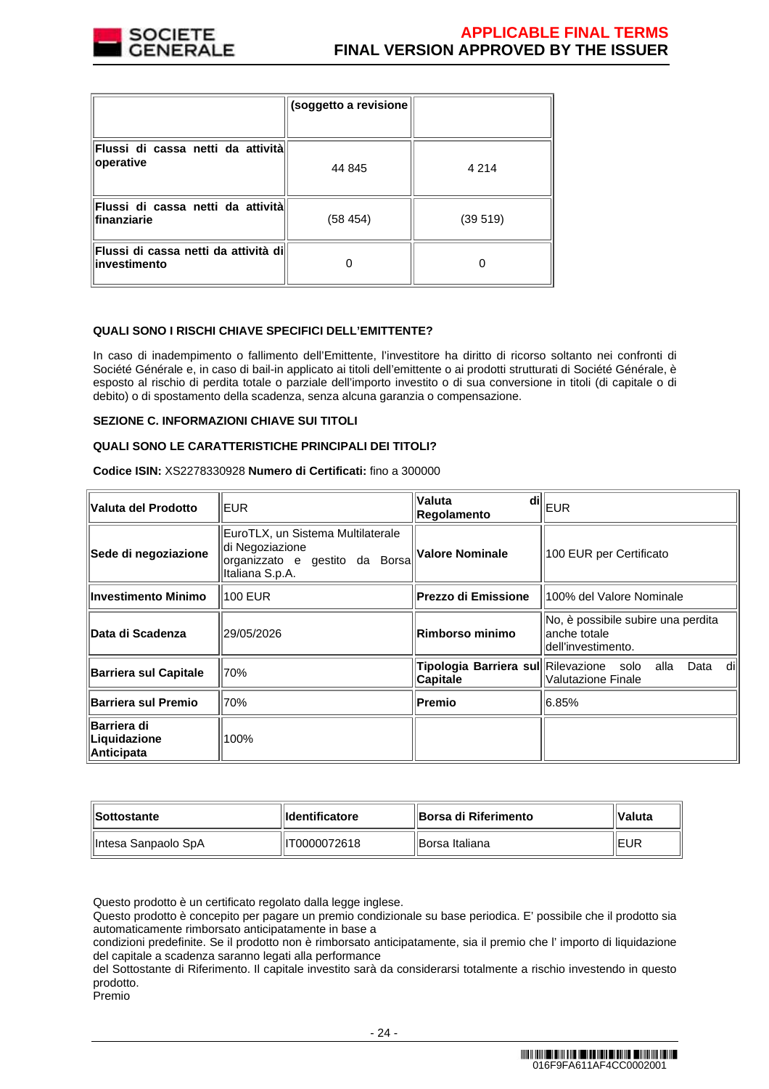

|                                                      | (soggetto a revisione |         |
|------------------------------------------------------|-----------------------|---------|
| Flussi di cassa netti da attività<br>operative       | 44 845                | 4 2 1 4 |
| Flussi di cassa netti da attività<br>lfinanziarie    | (58454)               | (39519) |
| Flussi di cassa netti da attività di<br>investimento |                       |         |

# **QUALI SONO I RISCHI CHIAVE SPECIFICI DELL'EMITTENTE?**

In caso di inadempimento o fallimento dell'Emittente, l'investitore ha diritto di ricorso soltanto nei confronti di Société Générale e, in caso di bail-in applicato ai titoli dell'emittente o ai prodotti strutturati di Société Générale, è esposto al rischio di perdita totale o parziale dell'importo investito o di sua conversione in titoli (di capitale o di debito) o di spostamento della scadenza, senza alcuna garanzia o compensazione.

## **SEZIONE C. INFORMAZIONI CHIAVE SUI TITOLI**

# **QUALI SONO LE CARATTERISTICHE PRINCIPALI DEI TITOLI?**

**Codice ISIN:** XS2278330928 **Numero di Certificati:** fino a 300000

| Valuta del Prodotto                              | <b>EUR</b>                                                                                                | Valuta<br>dil<br>Regolamento                               | <b>EUR</b>                                                                |
|--------------------------------------------------|-----------------------------------------------------------------------------------------------------------|------------------------------------------------------------|---------------------------------------------------------------------------|
| Sede di negoziazione                             | EuroTLX, un Sistema Multilaterale<br>di Negoziazione<br>organizzato e gestito da Borsa<br>Italiana S.p.A. | <b>∣∣Valore Nominale</b>                                   | 100 EUR per Certificato                                                   |
| <b>Investimento Minimo</b>                       | 100 EUR                                                                                                   | <b>Prezzo di Emissione</b>                                 | 100% del Valore Nominale                                                  |
| <b>Data di Scadenza</b>                          | 29/05/2026                                                                                                | Rimborso minimo                                            | No, è possibile subire una perdita<br>anche totale<br>ldell'investimento. |
| <b>Barriera sul Capitale</b>                     | 70%                                                                                                       | Tipologia Barriera sul Rilevazione solo<br><b>Capitale</b> | Data<br>dil<br>alla<br>Valutazione Finale                                 |
| Barriera sul Premio                              | 70%                                                                                                       | Premio                                                     | 6.85%                                                                     |
| <b>Barriera di</b><br>Liquidazione<br>Anticipata | 100%                                                                                                      |                                                            |                                                                           |

| <b>Sottostante</b>   | <b>∥ldentificatore</b> | <b>IBorsa di Riferimento</b> | <b>Valuta</b> |
|----------------------|------------------------|------------------------------|---------------|
| ∥Intesa Sanpaolo SpA | IT0000072618           | IlBorsa Italiana             | IEUR          |

Questo prodotto è un certificato regolato dalla legge inglese.

Questo prodotto è concepito per pagare un premio condizionale su base periodica. E' possibile che il prodotto sia automaticamente rimborsato anticipatamente in base a

condizioni predefinite. Se il prodotto non è rimborsato anticipatamente, sia il premio che l' importo di liquidazione del capitale a scadenza saranno legati alla performance

del Sottostante di Riferimento. Il capitale investito sarà da considerarsi totalmente a rischio investendo in questo prodotto.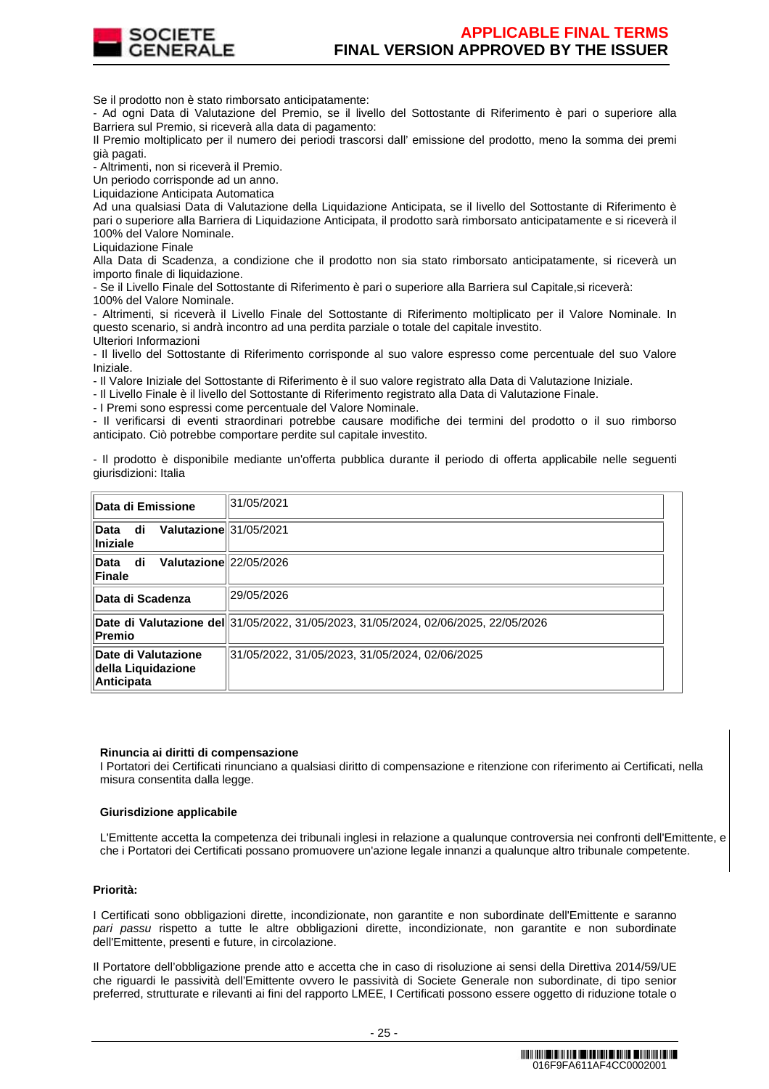

Se il prodotto non è stato rimborsato anticipatamente:

- Ad ogni Data di Valutazione del Premio, se il livello del Sottostante di Riferimento è pari o superiore alla Barriera sul Premio, si riceverà alla data di pagamento:

Il Premio moltiplicato per il numero dei periodi trascorsi dall' emissione del prodotto, meno la somma dei premi già pagati.

- Altrimenti, non si riceverà il Premio.

Un periodo corrisponde ad un anno.

Liquidazione Anticipata Automatica

Ad una qualsiasi Data di Valutazione della Liquidazione Anticipata, se il livello del Sottostante di Riferimento è pari o superiore alla Barriera di Liquidazione Anticipata, il prodotto sarà rimborsato anticipatamente e si riceverà il 100% del Valore Nominale.

Liquidazione Finale

Alla Data di Scadenza, a condizione che il prodotto non sia stato rimborsato anticipatamente, si riceverà un importo finale di liquidazione.

- Se il Livello Finale del Sottostante di Riferimento è pari o superiore alla Barriera sul Capitale,si riceverà: 100% del Valore Nominale.

- Altrimenti, si riceverà il Livello Finale del Sottostante di Riferimento moltiplicato per il Valore Nominale. In questo scenario, si andrà incontro ad una perdita parziale o totale del capitale investito. Ulteriori Informazioni

- Il livello del Sottostante di Riferimento corrisponde al suo valore espresso come percentuale del suo Valore Iniziale.

- Il Valore Iniziale del Sottostante di Riferimento è il suo valore registrato alla Data di Valutazione Iniziale.

- Il Livello Finale è il livello del Sottostante di Riferimento registrato alla Data di Valutazione Finale.

- I Premi sono espressi come percentuale del Valore Nominale.

- Il verificarsi di eventi straordinari potrebbe causare modifiche dei termini del prodotto o il suo rimborso anticipato. Ciò potrebbe comportare perdite sul capitale investito.

- Il prodotto è disponibile mediante un'offerta pubblica durante il periodo di offerta applicabile nelle seguenti giurisdizioni: Italia

| Data di Emissione                                              | 31/05/2021                                                                         |
|----------------------------------------------------------------|------------------------------------------------------------------------------------|
| Valutazione 31/05/2021<br>di<br>Data<br>Iniziale               |                                                                                    |
| Valutazione 22/05/2026<br>di<br>Data<br>Finale                 |                                                                                    |
| Data di Scadenza                                               | 29/05/2026                                                                         |
| Premio                                                         | Date di Valutazione del 31/05/2022, 31/05/2023, 31/05/2024, 02/06/2025, 22/05/2026 |
| Date di Valutazione<br>della Liquidazione<br><b>Anticipata</b> | 31/05/2022, 31/05/2023, 31/05/2024, 02/06/2025                                     |

#### **Rinuncia ai diritti di compensazione**

I Portatori dei Certificati rinunciano a qualsiasi diritto di compensazione e ritenzione con riferimento ai Certificati, nella misura consentita dalla legge.

#### **Giurisdizione applicabile**

L'Emittente accetta la competenza dei tribunali inglesi in relazione a qualunque controversia nei confronti dell'Emittente, e che i Portatori dei Certificati possano promuovere un'azione legale innanzi a qualunque altro tribunale competente.

#### **Priorità:**

I Certificati sono obbligazioni dirette, incondizionate, non garantite e non subordinate dell'Emittente e saranno pari passu rispetto a tutte le altre obbligazioni dirette, incondizionate, non garantite e non subordinate dell'Emittente, presenti e future, in circolazione.

Il Portatore dell'obbligazione prende atto e accetta che in caso di risoluzione ai sensi della Direttiva 2014/59/UE che riguardi le passività dell'Emittente ovvero le passività di Societe Generale non subordinate, di tipo senior preferred, strutturate e rilevanti ai fini del rapporto LMEE, I Certificati possono essere oggetto di riduzione totale o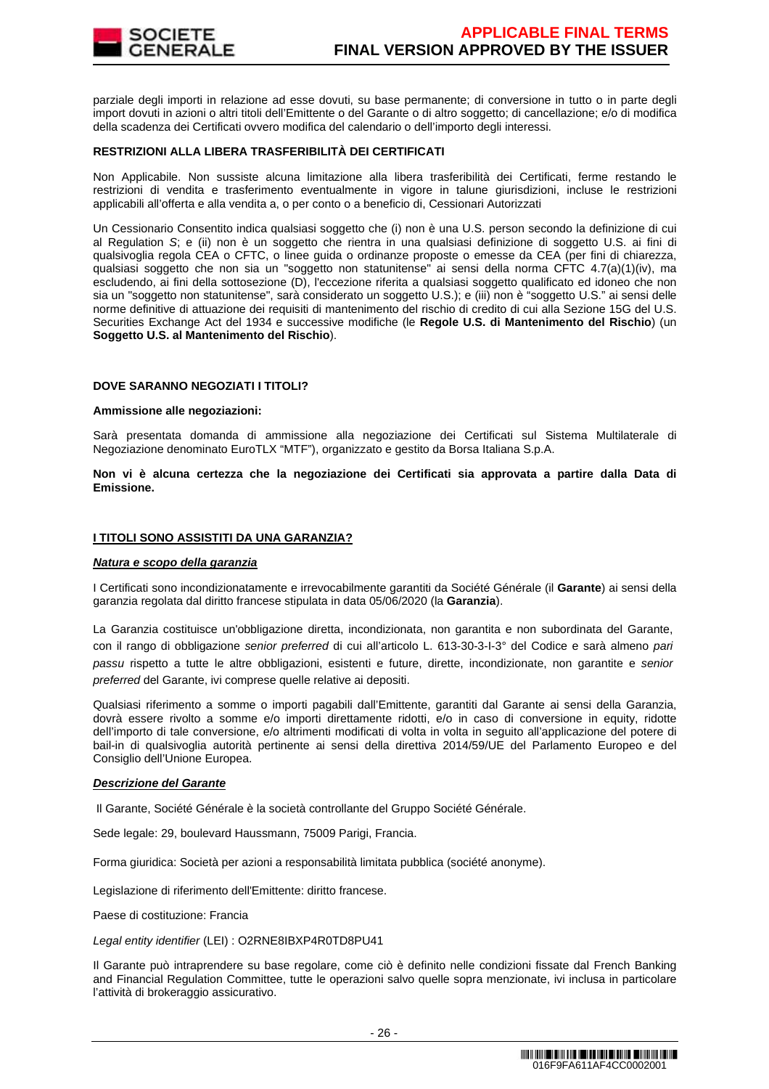

parziale degli importi in relazione ad esse dovuti, su base permanente; di conversione in tutto o in parte degli import dovuti in azioni o altri titoli dell'Emittente o del Garante o di altro soggetto; di cancellazione; e/o di modifica della scadenza dei Certificati ovvero modifica del calendario o dell'importo degli interessi.

# **RESTRIZIONI ALLA LIBERA TRASFERIBILITÀ DEI CERTIFICATI**

Non Applicabile. Non sussiste alcuna limitazione alla libera trasferibilità dei Certificati, ferme restando le restrizioni di vendita e trasferimento eventualmente in vigore in talune giurisdizioni, incluse le restrizioni applicabili all'offerta e alla vendita a, o per conto o a beneficio di, Cessionari Autorizzati

Un Cessionario Consentito indica qualsiasi soggetto che (i) non è una U.S. person secondo la definizione di cui al Regulation S; e (ii) non è un soggetto che rientra in una qualsiasi definizione di soggetto U.S. ai fini di qualsivoglia regola CEA o CFTC, o linee guida o ordinanze proposte o emesse da CEA (per fini di chiarezza, qualsiasi soggetto che non sia un "soggetto non statunitense" ai sensi della norma CFTC 4.7(a)(1)(iv), ma escludendo, ai fini della sottosezione (D), l'eccezione riferita a qualsiasi soggetto qualificato ed idoneo che non sia un "soggetto non statunitense", sarà considerato un soggetto U.S.); e (iii) non è "soggetto U.S." ai sensi delle norme definitive di attuazione dei requisiti di mantenimento del rischio di credito di cui alla Sezione 15G del U.S. Securities Exchange Act del 1934 e successive modifiche (le **Regole U.S. di Mantenimento del Rischio**) (un **Soggetto U.S. al Mantenimento del Rischio**).

# **DOVE SARANNO NEGOZIATI I TITOLI?**

#### **Ammissione alle negoziazioni:**

Sarà presentata domanda di ammissione alla negoziazione dei Certificati sul Sistema Multilaterale di Negoziazione denominato EuroTLX "MTF"), organizzato e gestito da Borsa Italiana S.p.A.

**Non vi è alcuna certezza che la negoziazione dei Certificati sia approvata a partire dalla Data di Emissione.**

## **I TITOLI SONO ASSISTITI DA UNA GARANZIA?**

## **Natura e scopo della garanzia**

I Certificati sono incondizionatamente e irrevocabilmente garantiti da Société Générale (il **Garante**) ai sensi della garanzia regolata dal diritto francese stipulata in data 05/06/2020 (la **Garanzia**).

La Garanzia costituisce un'obbligazione diretta, incondizionata, non garantita e non subordinata del Garante, con il rango di obbligazione senior preferred di cui all'articolo L. 613-30-3-I-3° del Codice e sarà almeno pari passu rispetto a tutte le altre obbligazioni, esistenti e future, dirette, incondizionate, non garantite e senior preferred del Garante, ivi comprese quelle relative ai depositi.

Qualsiasi riferimento a somme o importi pagabili dall'Emittente, garantiti dal Garante ai sensi della Garanzia, dovrà essere rivolto a somme e/o importi direttamente ridotti, e/o in caso di conversione in equity, ridotte dell'importo di tale conversione, e/o altrimenti modificati di volta in volta in seguito all'applicazione del potere di bail-in di qualsivoglia autorità pertinente ai sensi della direttiva 2014/59/UE del Parlamento Europeo e del Consiglio dell'Unione Europea.

## **Descrizione del Garante**

Il Garante, Société Générale è la società controllante del Gruppo Société Générale.

Sede legale: 29, boulevard Haussmann, 75009 Parigi, Francia.

Forma giuridica: Società per azioni a responsabilità limitata pubblica (société anonyme).

Legislazione di riferimento dell'Emittente: diritto francese.

Paese di costituzione: Francia

Legal entity identifier (LEI) : O2RNE8IBXP4R0TD8PU41

Il Garante può intraprendere su base regolare, come ciò è definito nelle condizioni fissate dal French Banking and Financial Regulation Committee, tutte le operazioni salvo quelle sopra menzionate, ivi inclusa in particolare l'attività di brokeraggio assicurativo.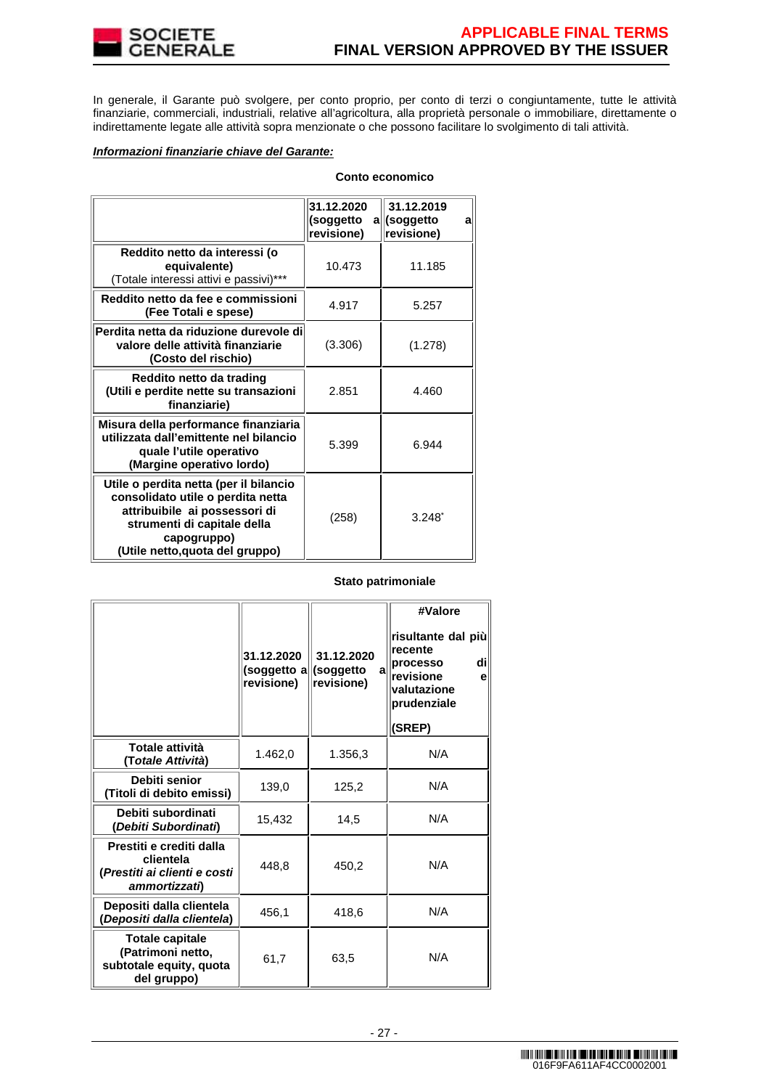

In generale, il Garante può svolgere, per conto proprio, per conto di terzi o congiuntamente, tutte le attività finanziarie, commerciali, industriali, relative all'agricoltura, alla proprietà personale o immobiliare, direttamente o indirettamente legate alle attività sopra menzionate o che possono facilitare lo svolgimento di tali attività.

## **Informazioni finanziarie chiave del Garante:**

## **Conto economico**

|                                                                                                                                                                                               | 31.12.2020<br>(soggetto<br>revisione) | 31.12.2019<br>a coggetto<br>revisione) | a |
|-----------------------------------------------------------------------------------------------------------------------------------------------------------------------------------------------|---------------------------------------|----------------------------------------|---|
| Reddito netto da interessi (o<br>equivalente)<br>(Totale interessi attivi e passivi)***                                                                                                       | 10.473                                | 11.185                                 |   |
| Reddito netto da fee e commissioni<br>(Fee Totali e spese)                                                                                                                                    | 4.917                                 | 5.257                                  |   |
| Perdita netta da riduzione durevole di<br>valore delle attività finanziarie<br>(Costo del rischio)                                                                                            | (3.306)                               | (1.278)                                |   |
| Reddito netto da trading<br>(Utili e perdite nette su transazioni<br>finanziarie)                                                                                                             | 2.851                                 | 4.460                                  |   |
| Misura della performance finanziaria<br>utilizzata dall'emittente nel bilancio<br>quale l'utile operativo<br>(Margine operativo lordo)                                                        | 5.399                                 | 6.944                                  |   |
| Utile o perdita netta (per il bilancio<br>consolidato utile o perdita netta<br>attribuibile ai possessori di<br>strumenti di capitale della<br>capogruppo)<br>(Utile netto, quota del gruppo) | (258)                                 | $3.248^*$                              |   |

# **Stato patrimoniale**

|                                                                                        | 31.12.2020<br>(soggetto a coggetto<br>revisione) | 31.12.2020<br>a<br>revisione) | #Valore<br>risultante dal più<br>recente<br>dil<br>processo<br>revisione<br>e<br>valutazione<br>prudenziale<br>(SREP) |
|----------------------------------------------------------------------------------------|--------------------------------------------------|-------------------------------|-----------------------------------------------------------------------------------------------------------------------|
| Totale attività<br>(Totale Attività)                                                   | 1.462,0                                          | 1.356,3                       | N/A                                                                                                                   |
| Debiti senior<br>(Titoli di debito emissi)                                             | 139,0                                            | 125,2                         | N/A                                                                                                                   |
| Debiti subordinati<br>(Debiti Subordinati)                                             | 15,432                                           | 14,5                          | N/A                                                                                                                   |
| Prestiti e crediti dalla<br>clientela<br>(Prestiti ai clienti e costi<br>ammortizzati) | 448.8                                            | 450.2                         | N/A                                                                                                                   |
| Depositi dalla clientela<br>(Depositi dalla clientela)                                 | 456,1                                            | 418,6                         | N/A                                                                                                                   |
| <b>Totale capitale</b><br>(Patrimoni netto,<br>subtotale equity, quota<br>del gruppo)  | 61,7                                             | 63,5                          | N/A                                                                                                                   |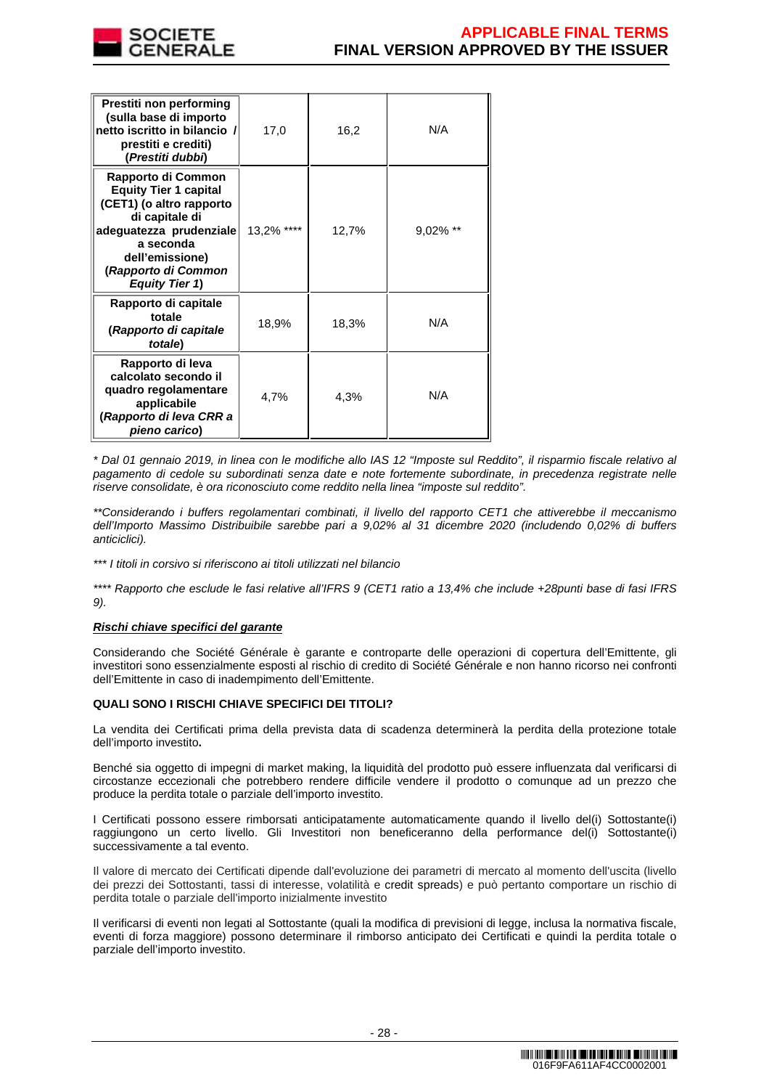

| Prestiti non performing<br>(sulla base di importo<br>netto iscritto in bilancio /<br>prestiti e crediti)<br>(Prestiti dubbi)                                                                                | 17,0       | 16,2  | N/A      |
|-------------------------------------------------------------------------------------------------------------------------------------------------------------------------------------------------------------|------------|-------|----------|
| Rapporto di Common<br><b>Equity Tier 1 capital</b><br>(CET1) (o altro rapporto<br>di capitale di<br>adeguatezza prudenziale<br>a seconda<br>dell'emissione)<br>(Rapporto di Common<br><b>Equity Tier 1)</b> | 13,2% **** | 12,7% | 9,02% ** |
| Rapporto di capitale<br>totale<br>(Rapporto di capitale<br>totale)                                                                                                                                          | 18,9%      | 18,3% | N/A      |
| Rapporto di leva<br>calcolato secondo il<br>quadro regolamentare<br>applicabile<br>(Rapporto di leva CRR a<br>pieno carico)                                                                                 | 4,7%       | 4,3%  | N/A      |

\* Dal 01 gennaio 2019, in linea con le modifiche allo IAS 12 "Imposte sul Reddito", il risparmio fiscale relativo al pagamento di cedole su subordinati senza date e note fortemente subordinate, in precedenza registrate nelle riserve consolidate, è ora riconosciuto come reddito nella linea "imposte sul reddito".

\*\*Considerando i buffers regolamentari combinati, il livello del rapporto CET1 che attiverebbe il meccanismo dell'Importo Massimo Distribuibile sarebbe pari a 9,02% al 31 dicembre 2020 (includendo 0,02% di buffers anticiclici).

# \*\*\* I titoli in corsivo si riferiscono ai titoli utilizzati nel bilancio

\*\*\*\* Rapporto che esclude le fasi relative all'IFRS 9 (CET1 ratio a 13,4% che include +28punti base di fasi IFRS 9).

## **Rischi chiave specifici del garante**

Considerando che Société Générale è garante e controparte delle operazioni di copertura dell'Emittente, gli investitori sono essenzialmente esposti al rischio di credito di Société Générale e non hanno ricorso nei confronti dell'Emittente in caso di inadempimento dell'Emittente.

## **QUALI SONO I RISCHI CHIAVE SPECIFICI DEI TITOLI?**

La vendita dei Certificati prima della prevista data di scadenza determinerà la perdita della protezione totale dell'importo investito**.**

Benché sia oggetto di impegni di market making, la liquidità del prodotto può essere influenzata dal verificarsi di circostanze eccezionali che potrebbero rendere difficile vendere il prodotto o comunque ad un prezzo che produce la perdita totale o parziale dell'importo investito.

I Certificati possono essere rimborsati anticipatamente automaticamente quando il livello del(i) Sottostante(i) raggiungono un certo livello. Gli Investitori non beneficeranno della performance del(i) Sottostante(i) successivamente a tal evento.

Il valore di mercato dei Certificati dipende dall'evoluzione dei parametri di mercato al momento dell'uscita (livello dei prezzi dei Sottostanti, tassi di interesse, volatilità e credit spreads) e può pertanto comportare un rischio di perdita totale o parziale dell'importo inizialmente investito

Il verificarsi di eventi non legati al Sottostante (quali la modifica di previsioni di legge, inclusa la normativa fiscale, eventi di forza maggiore) possono determinare il rimborso anticipato dei Certificati e quindi la perdita totale o parziale dell'importo investito.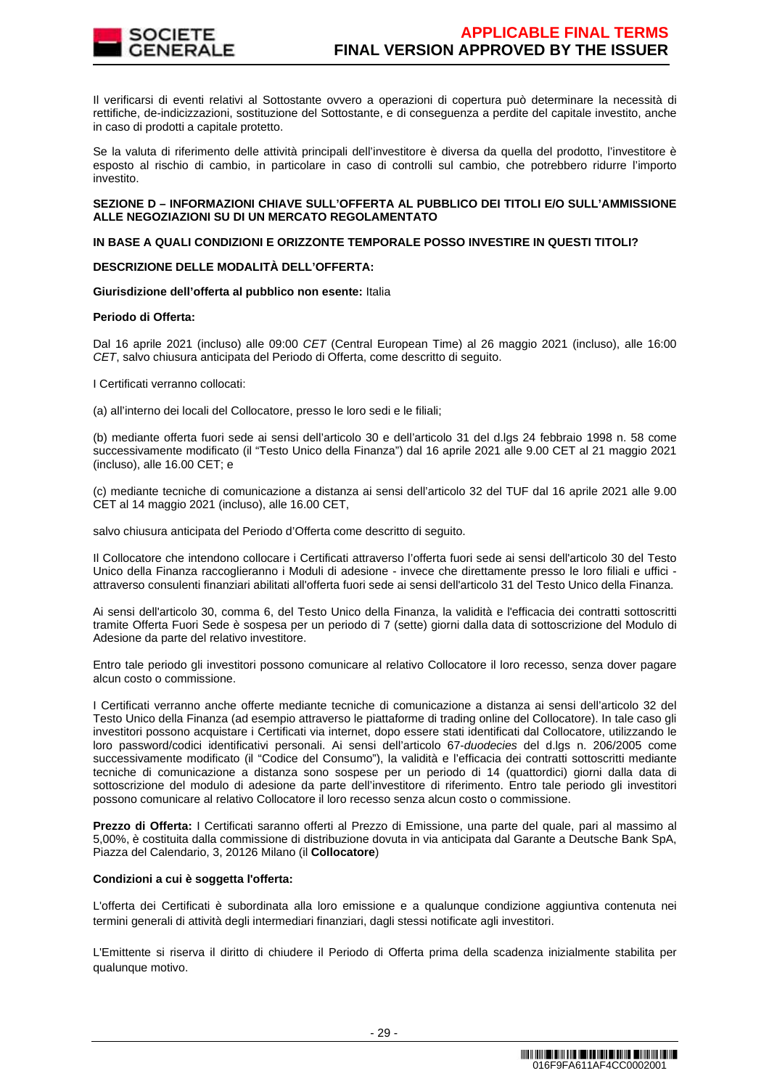

Il verificarsi di eventi relativi al Sottostante ovvero a operazioni di copertura può determinare la necessità di rettifiche, de-indicizzazioni, sostituzione del Sottostante, e di conseguenza a perdite del capitale investito, anche in caso di prodotti a capitale protetto.

Se la valuta di riferimento delle attività principali dell'investitore è diversa da quella del prodotto, l'investitore è esposto al rischio di cambio, in particolare in caso di controlli sul cambio, che potrebbero ridurre l'importo investito.

**SEZIONE D – INFORMAZIONI CHIAVE SULL'OFFERTA AL PUBBLICO DEI TITOLI E/O SULL'AMMISSIONE ALLE NEGOZIAZIONI SU DI UN MERCATO REGOLAMENTATO**

# **IN BASE A QUALI CONDIZIONI E ORIZZONTE TEMPORALE POSSO INVESTIRE IN QUESTI TITOLI?**

## **DESCRIZIONE DELLE MODALITÀ DELL'OFFERTA:**

# **Giurisdizione dell'offerta al pubblico non esente:** Italia

### **Periodo di Offerta:**

Dal 16 aprile 2021 (incluso) alle 09:00 CET (Central European Time) al 26 maggio 2021 (incluso), alle 16:00 CET, salvo chiusura anticipata del Periodo di Offerta, come descritto di seguito.

I Certificati verranno collocati:

(a) all'interno dei locali del Collocatore, presso le loro sedi e le filiali;

(b) mediante offerta fuori sede ai sensi dell'articolo 30 e dell'articolo 31 del d.lgs 24 febbraio 1998 n. 58 come successivamente modificato (il "Testo Unico della Finanza") dal 16 aprile 2021 alle 9.00 CET al 21 maggio 2021 (incluso), alle 16.00 CET; e

(c) mediante tecniche di comunicazione a distanza ai sensi dell'articolo 32 del TUF dal 16 aprile 2021 alle 9.00 CET al 14 maggio 2021 (incluso), alle 16.00 CET,

salvo chiusura anticipata del Periodo d'Offerta come descritto di seguito.

Il Collocatore che intendono collocare i Certificati attraverso l'offerta fuori sede ai sensi dell'articolo 30 del Testo Unico della Finanza raccoglieranno i Moduli di adesione - invece che direttamente presso le loro filiali e uffici attraverso consulenti finanziari abilitati all'offerta fuori sede ai sensi dell'articolo 31 del Testo Unico della Finanza.

Ai sensi dell'articolo 30, comma 6, del Testo Unico della Finanza, la validità e l'efficacia dei contratti sottoscritti tramite Offerta Fuori Sede è sospesa per un periodo di 7 (sette) giorni dalla data di sottoscrizione del Modulo di Adesione da parte del relativo investitore.

Entro tale periodo gli investitori possono comunicare al relativo Collocatore il loro recesso, senza dover pagare alcun costo o commissione.

I Certificati verranno anche offerte mediante tecniche di comunicazione a distanza ai sensi dell'articolo 32 del Testo Unico della Finanza (ad esempio attraverso le piattaforme di trading online del Collocatore). In tale caso gli investitori possono acquistare i Certificati via internet, dopo essere stati identificati dal Collocatore, utilizzando le loro password/codici identificativi personali. Ai sensi dell'articolo 67-duodecies del d.lgs n. 206/2005 come successivamente modificato (il "Codice del Consumo"), la validità e l'efficacia dei contratti sottoscritti mediante tecniche di comunicazione a distanza sono sospese per un periodo di 14 (quattordici) giorni dalla data di sottoscrizione del modulo di adesione da parte dell'investitore di riferimento. Entro tale periodo gli investitori possono comunicare al relativo Collocatore il loro recesso senza alcun costo o commissione.

**Prezzo di Offerta:** I Certificati saranno offerti al Prezzo di Emissione, una parte del quale, pari al massimo al 5,00%, è costituita dalla commissione di distribuzione dovuta in via anticipata dal Garante a Deutsche Bank SpA, Piazza del Calendario, 3, 20126 Milano (il **Collocatore**)

## **Condizioni a cui è soggetta l'offerta:**

L'offerta dei Certificati è subordinata alla loro emissione e a qualunque condizione aggiuntiva contenuta nei termini generali di attività degli intermediari finanziari, dagli stessi notificate agli investitori.

L'Emittente si riserva il diritto di chiudere il Periodo di Offerta prima della scadenza inizialmente stabilita per qualunque motivo.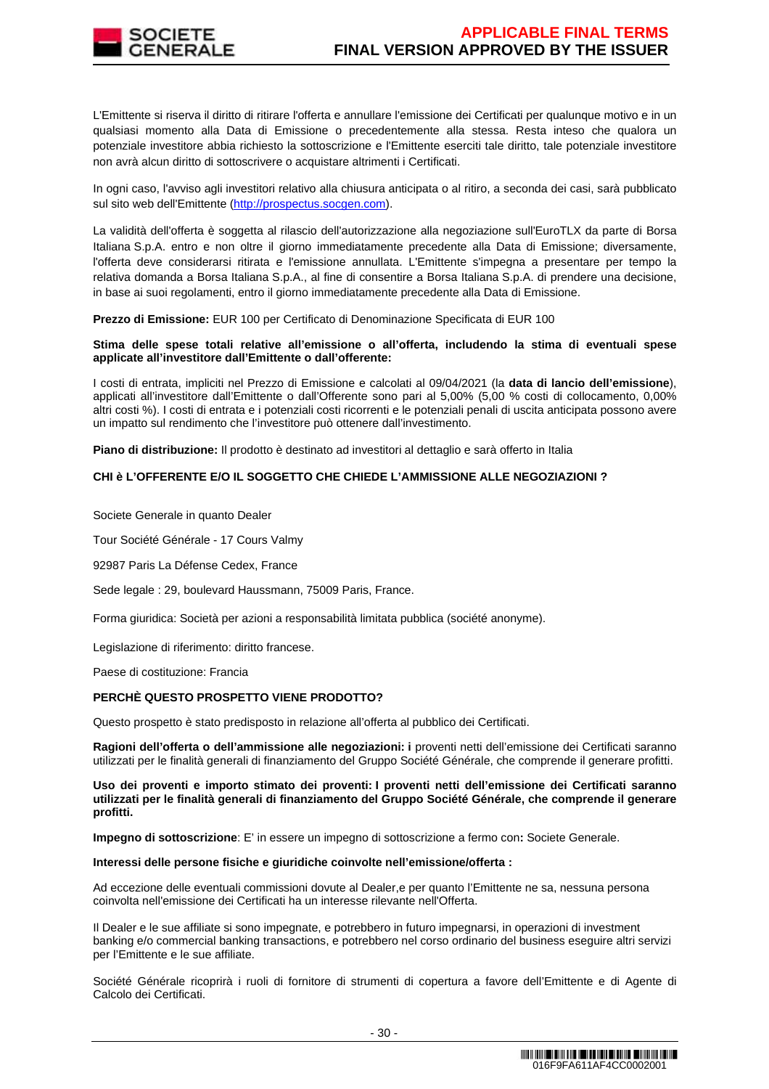

L'Emittente si riserva il diritto di ritirare l'offerta e annullare l'emissione dei Certificati per qualunque motivo e in un qualsiasi momento alla Data di Emissione o precedentemente alla stessa. Resta inteso che qualora un potenziale investitore abbia richiesto la sottoscrizione e l'Emittente eserciti tale diritto, tale potenziale investitore non avrà alcun diritto di sottoscrivere o acquistare altrimenti i Certificati.

In ogni caso, l'avviso agli investitori relativo alla chiusura anticipata o al ritiro, a seconda dei casi, sarà pubblicato sul sito web dell'Emittente (http://prospectus.socgen.com).

La validità dell'offerta è soggetta al rilascio dell'autorizzazione alla negoziazione sull'EuroTLX da parte di Borsa Italiana S.p.A. entro e non oltre il giorno immediatamente precedente alla Data di Emissione; diversamente, l'offerta deve considerarsi ritirata e l'emissione annullata. L'Emittente s'impegna a presentare per tempo la relativa domanda a Borsa Italiana S.p.A., al fine di consentire a Borsa Italiana S.p.A. di prendere una decisione, in base ai suoi regolamenti, entro il giorno immediatamente precedente alla Data di Emissione.

**Prezzo di Emissione:** EUR 100 per Certificato di Denominazione Specificata di EUR 100

## **Stima delle spese totali relative all'emissione o all'offerta, includendo la stima di eventuali spese applicate all'investitore dall'Emittente o dall'offerente:**

I costi di entrata, impliciti nel Prezzo di Emissione e calcolati al 09/04/2021 (la **data di lancio dell'emissione**), applicati all'investitore dall'Emittente o dall'Offerente sono pari al 5,00% (5,00 % costi di collocamento, 0,00% altri costi %). I costi di entrata e i potenziali costi ricorrenti e le potenziali penali di uscita anticipata possono avere un impatto sul rendimento che l'investitore può ottenere dall'investimento.

**Piano di distribuzione:** Il prodotto è destinato ad investitori al dettaglio e sarà offerto in Italia

# **CHI è L'OFFERENTE E/O IL SOGGETTO CHE CHIEDE L'AMMISSIONE ALLE NEGOZIAZIONI ?**

Societe Generale in quanto Dealer

Tour Société Générale - 17 Cours Valmy

92987 Paris La Défense Cedex, France

Sede legale : 29, boulevard Haussmann, 75009 Paris, France.

Forma giuridica: Società per azioni a responsabilità limitata pubblica (société anonyme).

Legislazione di riferimento: diritto francese.

Paese di costituzione: Francia

## **PERCHÈ QUESTO PROSPETTO VIENE PRODOTTO?**

Questo prospetto è stato predisposto in relazione all'offerta al pubblico dei Certificati.

**Ragioni dell'offerta o dell'ammissione alle negoziazioni: i** proventi netti dell'emissione dei Certificati saranno utilizzati per le finalità generali di finanziamento del Gruppo Société Générale, che comprende il generare profitti.

**Uso dei proventi e importo stimato dei proventi: I proventi netti dell'emissione dei Certificati saranno utilizzati per le finalità generali di finanziamento del Gruppo Société Générale, che comprende il generare profitti.** 

**Impegno di sottoscrizione**: E' in essere un impegno di sottoscrizione a fermo con**:** Societe Generale.

## **Interessi delle persone fisiche e giuridiche coinvolte nell'emissione/offerta :**

Ad eccezione delle eventuali commissioni dovute al Dealer,e per quanto l'Emittente ne sa, nessuna persona coinvolta nell'emissione dei Certificati ha un interesse rilevante nell'Offerta.

Il Dealer e le sue affiliate si sono impegnate, e potrebbero in futuro impegnarsi, in operazioni di investment banking e/o commercial banking transactions, e potrebbero nel corso ordinario del business eseguire altri servizi per l'Emittente e le sue affiliate.

Société Générale ricoprirà i ruoli di fornitore di strumenti di copertura a favore dell'Emittente e di Agente di Calcolo dei Certificati.